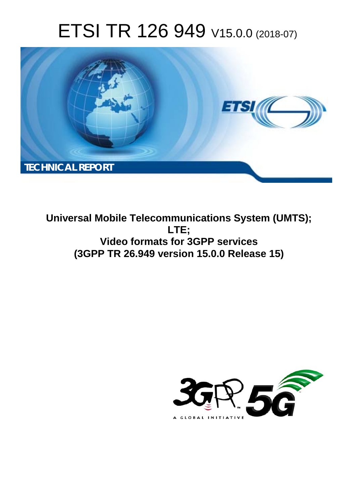# ETSI TR 126 949 V15.0.0 (2018-07)



**Universal Mobile Telecommunications System (UMTS); LTE; Video formats for 3GPP services (3GPP TR 26.949 version 15.0.0 Release 15)** 

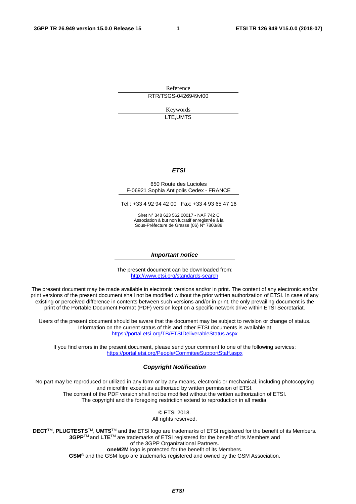Reference RTR/TSGS-0426949vf00

> Keywords LTE,UMTS

#### *ETSI*

#### 650 Route des Lucioles F-06921 Sophia Antipolis Cedex - FRANCE

Tel.: +33 4 92 94 42 00 Fax: +33 4 93 65 47 16

Siret N° 348 623 562 00017 - NAF 742 C Association à but non lucratif enregistrée à la Sous-Préfecture de Grasse (06) N° 7803/88

#### *Important notice*

The present document can be downloaded from: <http://www.etsi.org/standards-search>

The present document may be made available in electronic versions and/or in print. The content of any electronic and/or print versions of the present document shall not be modified without the prior written authorization of ETSI. In case of any existing or perceived difference in contents between such versions and/or in print, the only prevailing document is the print of the Portable Document Format (PDF) version kept on a specific network drive within ETSI Secretariat.

Users of the present document should be aware that the document may be subject to revision or change of status. Information on the current status of this and other ETSI documents is available at <https://portal.etsi.org/TB/ETSIDeliverableStatus.aspx>

If you find errors in the present document, please send your comment to one of the following services: <https://portal.etsi.org/People/CommiteeSupportStaff.aspx>

#### *Copyright Notification*

No part may be reproduced or utilized in any form or by any means, electronic or mechanical, including photocopying and microfilm except as authorized by written permission of ETSI. The content of the PDF version shall not be modified without the written authorization of ETSI. The copyright and the foregoing restriction extend to reproduction in all media.

> © ETSI 2018. All rights reserved.

**DECT**TM, **PLUGTESTS**TM, **UMTS**TM and the ETSI logo are trademarks of ETSI registered for the benefit of its Members. **3GPP**TM and **LTE**TM are trademarks of ETSI registered for the benefit of its Members and of the 3GPP Organizational Partners. **oneM2M** logo is protected for the benefit of its Members.

**GSM**® and the GSM logo are trademarks registered and owned by the GSM Association.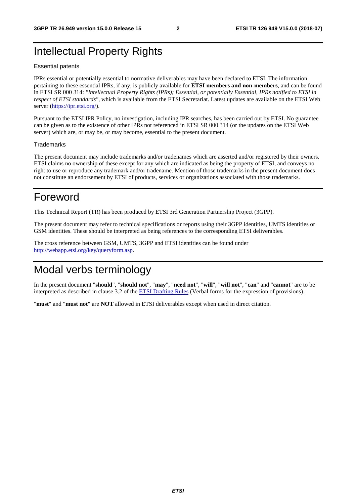# Intellectual Property Rights

#### Essential patents

IPRs essential or potentially essential to normative deliverables may have been declared to ETSI. The information pertaining to these essential IPRs, if any, is publicly available for **ETSI members and non-members**, and can be found in ETSI SR 000 314: *"Intellectual Property Rights (IPRs); Essential, or potentially Essential, IPRs notified to ETSI in respect of ETSI standards"*, which is available from the ETSI Secretariat. Latest updates are available on the ETSI Web server ([https://ipr.etsi.org/\)](https://ipr.etsi.org/).

Pursuant to the ETSI IPR Policy, no investigation, including IPR searches, has been carried out by ETSI. No guarantee can be given as to the existence of other IPRs not referenced in ETSI SR 000 314 (or the updates on the ETSI Web server) which are, or may be, or may become, essential to the present document.

#### **Trademarks**

The present document may include trademarks and/or tradenames which are asserted and/or registered by their owners. ETSI claims no ownership of these except for any which are indicated as being the property of ETSI, and conveys no right to use or reproduce any trademark and/or tradename. Mention of those trademarks in the present document does not constitute an endorsement by ETSI of products, services or organizations associated with those trademarks.

# Foreword

This Technical Report (TR) has been produced by ETSI 3rd Generation Partnership Project (3GPP).

The present document may refer to technical specifications or reports using their 3GPP identities, UMTS identities or GSM identities. These should be interpreted as being references to the corresponding ETSI deliverables.

The cross reference between GSM, UMTS, 3GPP and ETSI identities can be found under [http://webapp.etsi.org/key/queryform.asp.](http://webapp.etsi.org/key/queryform.asp)

# Modal verbs terminology

In the present document "**should**", "**should not**", "**may**", "**need not**", "**will**", "**will not**", "**can**" and "**cannot**" are to be interpreted as described in clause 3.2 of the [ETSI Drafting Rules](https://portal.etsi.org/Services/editHelp!/Howtostart/ETSIDraftingRules.aspx) (Verbal forms for the expression of provisions).

"**must**" and "**must not**" are **NOT** allowed in ETSI deliverables except when used in direct citation.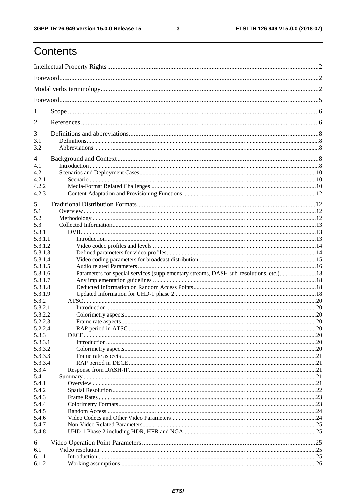# Contents

| 1       |                                                                                        |  |
|---------|----------------------------------------------------------------------------------------|--|
| 2       |                                                                                        |  |
| 3       |                                                                                        |  |
| 3.1     |                                                                                        |  |
| 3.2     |                                                                                        |  |
| 4       |                                                                                        |  |
| 4.1     |                                                                                        |  |
| 4.2     |                                                                                        |  |
|         |                                                                                        |  |
| 4.2.1   |                                                                                        |  |
| 4.2.2   |                                                                                        |  |
| 4.2.3   |                                                                                        |  |
| 5       |                                                                                        |  |
| 5.1     |                                                                                        |  |
| 5.2     |                                                                                        |  |
| 5.3     |                                                                                        |  |
| 5.3.1   |                                                                                        |  |
| 5.3.1.1 |                                                                                        |  |
| 5.3.1.2 |                                                                                        |  |
| 5.3.1.3 |                                                                                        |  |
| 5.3.1.4 |                                                                                        |  |
| 5.3.1.5 |                                                                                        |  |
|         | Parameters for special services (supplementary streams, DASH sub-resolutions, etc.) 18 |  |
| 5.3.1.6 |                                                                                        |  |
| 5.3.1.7 |                                                                                        |  |
| 5.3.1.8 |                                                                                        |  |
| 5.3.1.9 |                                                                                        |  |
| 5.3.2   |                                                                                        |  |
| 5.3.2.1 |                                                                                        |  |
| 5.3.2.2 |                                                                                        |  |
| 5.2.2.3 |                                                                                        |  |
| 5.2.2.4 |                                                                                        |  |
| 5.3.3   |                                                                                        |  |
| 5.3.3.1 |                                                                                        |  |
| 5.3.3.2 |                                                                                        |  |
| 5.3.3.3 |                                                                                        |  |
| 5.3.3.4 |                                                                                        |  |
| 5.3.4   |                                                                                        |  |
| 5.4     |                                                                                        |  |
| 5.4.1   |                                                                                        |  |
| 5.4.2   |                                                                                        |  |
| 5.4.3   |                                                                                        |  |
| 5.4.4   |                                                                                        |  |
| 5.4.5   |                                                                                        |  |
| 5.4.6   |                                                                                        |  |
| 5.4.7   |                                                                                        |  |
| 5.4.8   |                                                                                        |  |
| 6       |                                                                                        |  |
| 6.1     |                                                                                        |  |
| 6.1.1   |                                                                                        |  |
| 6.1.2   |                                                                                        |  |
|         |                                                                                        |  |

 $\mathbf{3}$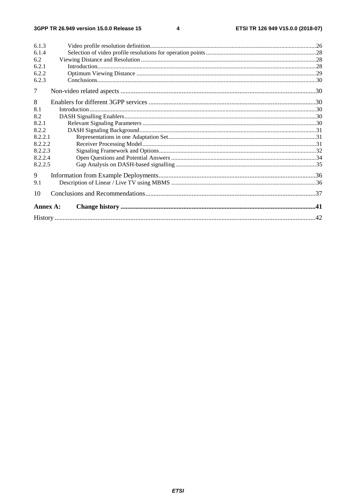#### $\overline{\mathbf{4}}$

| 6.1.3    |  |
|----------|--|
| 6.1.4    |  |
| 6.2      |  |
| 6.2.1    |  |
| 6.2.2    |  |
| 6.2.3    |  |
| 7        |  |
| 8        |  |
| 8.1      |  |
| 8.2      |  |
| 8.2.1    |  |
| 8.2.2    |  |
| 8.2.2.1  |  |
| 8.2.2.2  |  |
| 8.2.2.3  |  |
| 8.2.2.4  |  |
| 8.2.2.5  |  |
| 9        |  |
| 9.1      |  |
| 10       |  |
| Annex A: |  |
|          |  |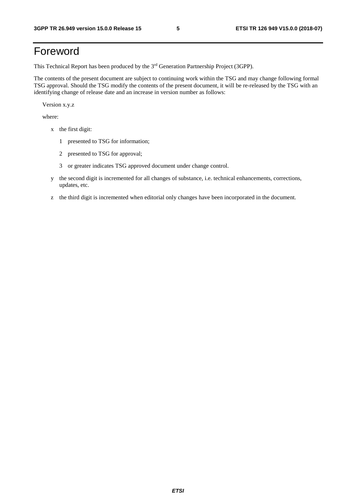# Foreword

This Technical Report has been produced by the 3rd Generation Partnership Project (3GPP).

The contents of the present document are subject to continuing work within the TSG and may change following formal TSG approval. Should the TSG modify the contents of the present document, it will be re-released by the TSG with an identifying change of release date and an increase in version number as follows:

Version x.y.z

where:

- x the first digit:
	- 1 presented to TSG for information;
	- 2 presented to TSG for approval;
	- 3 or greater indicates TSG approved document under change control.
- y the second digit is incremented for all changes of substance, i.e. technical enhancements, corrections, updates, etc.
- z the third digit is incremented when editorial only changes have been incorporated in the document.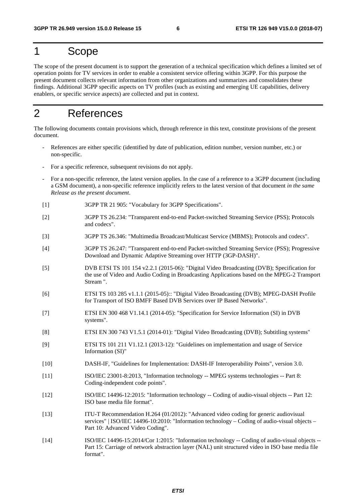# 1 Scope

The scope of the present document is to support the generation of a technical specification which defines a limited set of operation points for TV services in order to enable a consistent service offering within 3GPP. For this purpose the present document collects relevant information from other organizations and summarizes and consolidates these findings. Additional 3GPP specific aspects on TV profiles (such as existing and emerging UE capabilities, delivery enablers, or specific service aspects) are collected and put in context.

# 2 References

The following documents contain provisions which, through reference in this text, constitute provisions of the present document.

- References are either specific (identified by date of publication, edition number, version number, etc.) or non-specific.
- For a specific reference, subsequent revisions do not apply.
- For a non-specific reference, the latest version applies. In the case of a reference to a 3GPP document (including a GSM document), a non-specific reference implicitly refers to the latest version of that document *in the same Release as the present document*.
- [1] 3GPP TR 21 905: "Vocabulary for 3GPP Specifications".
- [2] 3GPP TS 26.234: "Transparent end-to-end Packet-switched Streaming Service (PSS); Protocols and codecs".
- [3] 3GPP TS 26.346: "Multimedia Broadcast/Multicast Service (MBMS); Protocols and codecs".
- [4] 3GPP TS 26.247: "Transparent end-to-end Packet-switched Streaming Service (PSS); Progressive Download and Dynamic Adaptive Streaming over HTTP (3GP-DASH)".
- [5] DVB ETSI TS 101 154 v2.2.1 (2015-06): "Digital Video Broadcasting (DVB); Specification for the use of Video and Audio Coding in Broadcasting Applications based on the MPEG-2 Transport Stream ".
- [6] ETSI TS 103 285 v1.1.1 (2015-05):: "Digital Video Broadcasting (DVB); MPEG-DASH Profile for Transport of ISO BMFF Based DVB Services over IP Based Networks".
- [7] ETSI EN 300 468 V1.14.1 (2014-05): "Specification for Service Information (SI) in DVB systems".
- [8] ETSI EN 300 743 V1.5.1 (2014-01): "Digital Video Broadcasting (DVB); Subtitling systems"
- [9] ETSI TS 101 211 V1.12.1 (2013-12): "Guidelines on implementation and usage of Service Information (SI)"
- [10] DASH-IF, "Guidelines for Implementation: DASH-IF Interoperability Points", version 3.0.
- [11] ISO/IEC 23001-8:2013, "Information technology -- MPEG systems technologies -- Part 8: Coding-independent code points".
- [12] ISO/IEC 14496-12:2015: "Information technology -- Coding of audio-visual objects -- Part 12: ISO base media file format".
- [13] ITU-T Recommendation H.264 (01/2012): "Advanced video coding for generic audiovisual services" | ISO/IEC 14496-10:2010: "Information technology – Coding of audio-visual objects – Part 10: Advanced Video Coding".
- [14] ISO/IEC 14496-15:2014/Cor 1:2015: "Information technology -- Coding of audio-visual objects -- Part 15: Carriage of network abstraction layer (NAL) unit structured video in ISO base media file format".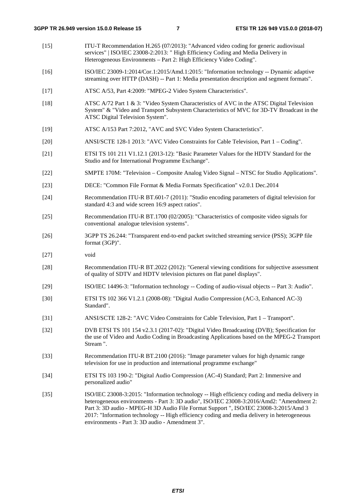- [15] ITU-T Recommendation H.265 (07/2013): "Advanced video coding for generic audiovisual services" | ISO/IEC 23008-2:2013: " High Efficiency Coding and Media Delivery in Heterogeneous Environments – Part 2: High Efficiency Video Coding".
- [16] ISO/IEC 23009-1:2014/Cor.1:2015/Amd.1:2015: "Information technology -- Dynamic adaptive streaming over HTTP (DASH) -- Part 1: Media presentation description and segment formats".
- [17] ATSC A/53, Part 4:2009: "MPEG-2 Video System Characteristics".
- [18] ATSC A/72 Part 1 & 3: "Video System Characteristics of AVC in the ATSC Digital Television System" & "Video and Transport Subsystem Characteristics of MVC for 3D-TV Broadcast in the ATSC Digital Television System".
- [19] ATSC A/153 Part 7:2012, "AVC and SVC Video System Characteristics".
- [20] ANSI/SCTE 128-1 2013: "AVC Video Constraints for Cable Television, Part 1 Coding".
- [21] ETSI TS 101 211 V1.12.1 (2013-12): "Basic Parameter Values for the HDTV Standard for the Studio and for International Programme Exchange".
- [22] SMPTE 170M: "Television Composite Analog Video Signal NTSC for Studio Applications".
- [23] DECE: "Common File Format & Media Formats Specification" v2.0.1 Dec.2014
- [24] Recommendation ITU-R BT.601-7 (2011): "Studio encoding parameters of digital television for standard 4:3 and wide screen 16:9 aspect ratios".
- [25] Recommendation ITU-R BT.1700 (02/2005): "Characteristics of composite video signals for conventional analogue television systems".
- [26] 3GPP TS 26.244: "Transparent end-to-end packet switched streaming service (PSS); 3GPP file format (3GP)".
- [27] void
- [28] Recommendation ITU-R BT.2022 (2012): "General viewing conditions for subjective assessment of quality of SDTV and HDTV television pictures on flat panel displays".
- [29] ISO/IEC 14496-3: "Information technology -- Coding of audio-visual objects -- Part 3: Audio".
- [30] ETSI TS 102 366 V1.2.1 (2008-08): "Digital Audio Compression (AC-3, Enhanced AC-3) Standard".
- [31] ANSI/SCTE 128-2: "AVC Video Constraints for Cable Television, Part 1 Transport".
- [32] DVB ETSI TS 101 154 v2.3.1 (2017-02): "Digital Video Broadcasting (DVB); Specification for the use of Video and Audio Coding in Broadcasting Applications based on the MPEG-2 Transport Stream ".
- [33] Recommendation ITU-R BT.2100 (2016): "Image parameter values for high dynamic range television for use in production and international programme exchange"
- [34] ETSI TS 103 190-2: "Digital Audio Compression (AC-4) Standard; Part 2: Immersive and personalized audio"
- [35] ISO/IEC 23008-3:2015: "Information technology -- High efficiency coding and media delivery in heterogeneous environments - Part 3: 3D audio", ISO/IEC 23008-3:2016/Amd2: "Amendment 2: Part 3: 3D audio - MPEG-H 3D Audio File Format Support ", ISO/IEC 23008-3:2015/Amd 3 2017: "Information technology -- High efficiency coding and media delivery in heterogeneous environments - Part 3: 3D audio - Amendment 3".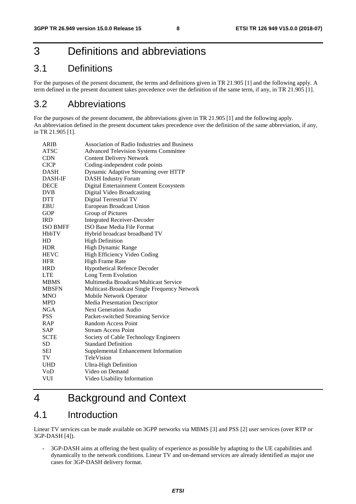# 3 Definitions and abbreviations

# 3.1 Definitions

For the purposes of the present document, the terms and definitions given in TR 21.905 [1] and the following apply. A term defined in the present document takes precedence over the definition of the same term, if any, in TR 21.905 [1].

# 3.2 Abbreviations

For the purposes of the present document, the abbreviations given in TR 21.905 [1] and the following apply. An abbreviation defined in the present document takes precedence over the definition of the same abbreviation, if any, in TR 21.905 [1].

| <b>ARIB</b>     | <b>Association of Radio Industries and Business</b> |
|-----------------|-----------------------------------------------------|
| <b>ATSC</b>     | <b>Advanced Television Systems Committee</b>        |
| <b>CDN</b>      | <b>Content Delivery Network</b>                     |
| <b>CICP</b>     | Coding-independent code points                      |
| <b>DASH</b>     | Dynamic Adaptive Streaming over HTTP                |
| <b>DASH-IF</b>  | <b>DASH Industry Forum</b>                          |
| <b>DECE</b>     | Digital Entertainment Content Ecosystem             |
| <b>DVB</b>      | <b>Digital Video Broadcasting</b>                   |
| <b>DTT</b>      | Digital Terrestrial TV                              |
| EBU             | European Broadcast Union                            |
| <b>GOP</b>      | Group of Pictures                                   |
| <b>IRD</b>      | <b>Integrated Receiver-Decoder</b>                  |
| <b>ISO BMFF</b> | <b>ISO Base Media File Format</b>                   |
| <b>HbbTV</b>    | Hybrid broadcast broadband TV                       |
| HD              | <b>High Definition</b>                              |
| <b>HDR</b>      | High Dynamic Range                                  |
| <b>HEVC</b>     | High Efficiency Video Coding                        |
| <b>HFR</b>      | <b>High Frame Rate</b>                              |
| <b>HRD</b>      | <b>Hypothetical Refence Decoder</b>                 |
| <b>LTE</b>      | Long Term Evolution                                 |
| <b>MBMS</b>     | Multimedia Broadcast/Multicast Service              |
| <b>MBSFN</b>    | Multicast-Broadcast Single Frequency Network        |
| <b>MNO</b>      | Mobile Network Operator                             |
| <b>MPD</b>      | <b>Media Presentation Descriptor</b>                |
| <b>NGA</b>      | <b>Next Generation Audio</b>                        |
| <b>PSS</b>      | Packet-switched Streaming Service                   |
| <b>RAP</b>      | <b>Random Access Point</b>                          |
| <b>SAP</b>      | <b>Stream Access Point</b>                          |
| <b>SCTE</b>     | Society of Cable Technology Engineers               |
| SD              | <b>Standard Definition</b>                          |
| <b>SEI</b>      | Supplemental Enhancement Information                |
| TV              | TeleVision                                          |
| <b>UHD</b>      | <b>Ultra-High Definition</b>                        |
| VoD             | Video on Demand                                     |
| VUI             | Video Usability Information                         |

# 4 Background and Context

# 4.1 Introduction

Linear TV services can be made available on 3GPP networks via MBMS [3] and PSS [2] user services (over RTP or 3GP-DASH [4]).

- 3GP-DASH aims at offering the best quality of experience as possible by adapting to the UE capabilities and dynamically to the network conditions. Linear TV and on-demand services are already identified as major use cases for 3GP-DASH delivery format.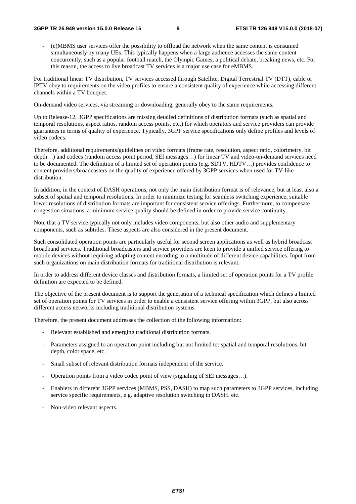- (e)MBMS user services offer the possibility to offload the network when the same content is consumed simultaneously by many UEs. This typically happens when a large audience accesses the same content concurrently, such as a popular football match, the Olympic Games, a political debate, breaking news, etc. For this reason, the access to live broadcast TV services is a major use case for eMBMS.

For traditional linear TV distribution, TV services accessed through Satellite, Digital Terrestrial TV (DTT), cable or IPTV obey to requirements on the video profiles to ensure a consistent quality of experience while accessing different channels within a TV bouquet.

On-demand video services, via streaming or downloading, generally obey to the same requirements.

Up to Release-12, 3GPP specifications are missing detailed definitions of distribution formats (such as spatial and temporal resolutions, aspect ratios, random access points, etc.) for which operators and service providers can provide guarantees in terms of quality of experience. Typically, 3GPP service specifications only define profiles and levels of video codecs.

Therefore, additional requirements/guidelines on video formats (frame rate, resolution, aspect ratio, colorimetry, bit depth…) and codecs (random access point period, SEI messages…) for linear TV and video-on-demand services need to be documented. The definition of a limited set of operation points (e.g. SDTV, HDTV…) provides confidence to content providers/broadcasters on the quality of experience offered by 3GPP services when used for TV-like distribution.

In addition, in the context of DASH operations, not only the main distribution format is of relevance, but at least also a subset of spatial and temporal resolutions. In order to minimize testing for seamless switching experience, suitable lower resolutions of distribution formats are important for consistent service offerings. Furthermore, to compensate congestion situations, a minimum service quality should be defined in order to provide service continuity.

Note that a TV service typically not only includes video components, but also other audio and supplementary components, such as subtitles. These aspects are also considered in the present document.

Such consolidated operation points are particularly useful for second screen applications as well as hybrid broadcast broadband services. Traditional broadcasters and service providers are keen to provide a unified service offering to mobile devices without requiring adapting content encoding to a multitude of different device capabilities. Input from such organizations on main distribution formats for traditional distribution is relevant.

In order to address different device classes and distribution formats, a limited set of operation points for a TV profile definition are expected to be defined.

The objective of the present document is to support the generation of a technical specification which defines a limited set of operation points for TV services in order to enable a consistent service offering within 3GPP, but also across different access networks including traditional distribution systems.

Therefore, the present document addresses the collection of the following information:

- Relevant established and emerging traditional distribution formats.
- Parameters assigned to an operation point including but not limited to: spatial and temporal resolutions, bit depth, color space, etc.
- Small subset of relevant distribution formats independent of the service.
- Operation points from a video codec point of view (signaling of SEI messages…).
- Enablers in different 3GPP services (MBMS, PSS, DASH) to map such parameters to 3GPP services, including service specific requirements, e.g. adaptive resolution switching in DASH. etc.
- Non-video relevant aspects.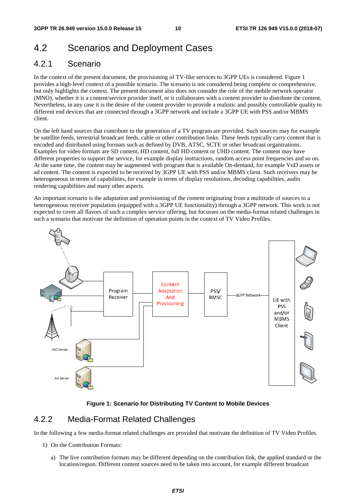# 4.2 Scenarios and Deployment Cases

### 4.2.1 Scenario

In the context of the present document, the provisioning of TV-like services to 3GPP UEs is considered. Figure 1 provides a high-level context of a possible scenario. The scenario is not considered being complete or comprehensive, but only highlights the context. The present document also does not consider the role of the mobile network operator (MNO), whether it is a content/service provider itself, or it collaborates with a content provider to distribute the content. Nevertheless, in any case it is the desire of the content provider to provide a realistic and possibly controllable quality to different end devices that are connected through a 3GPP network and include a 3GPP UE with PSS and/or MBMS client.

On the left hand sources that contribute to the generation of a TV program are provided. Such sources may for example be satellite feeds, terrestrial broadcast feeds, cable or other contribution links. These feeds typically carry content that is encoded and distributed using formats such as defined by DVB, ATSC, SCTE or other broadcast organizations. Examples for video formats are SD content, HD content, full HD content or UHD content. The content may have different properties to support the service, for example display instructions, random access point frequencies and so on. At the same time, the content may be augmented with program that is available On-demand, for example VoD assets or ad content. The content is expected to be received by 3GPP UE with PSS and/or MBMS client. Such receivers may be heterogeneous in terms of capabilities, for example in terms of display resolutions, decoding capabilities, audio rendering capabilities and many other aspects.

An important scenario is the adaptation and provisioning of the content originating from a multitude of sources to a heterogeneous receiver population (equipped with a 3GPP UE functionality) through a 3GPP network. This work is not expected to cover all flavors of such a complex service offering, but focusses on the media-format related challenges in such a scenario that motivate the definition of operation points in the context of TV Video Profiles.



#### **Figure 1: Scenario for Distributing TV Content to Mobile Devices**

### 4.2.2 Media-Format Related Challenges

In the following a few media-format related challenges are provided that motivate the definition of TV Video Profiles.

- 1) On the Contribution Formats:
	- a) The live contribution formats may be different depending on the contribution link, the applied standard or the location/region. Different content sources need to be taken into account, for example different broadcast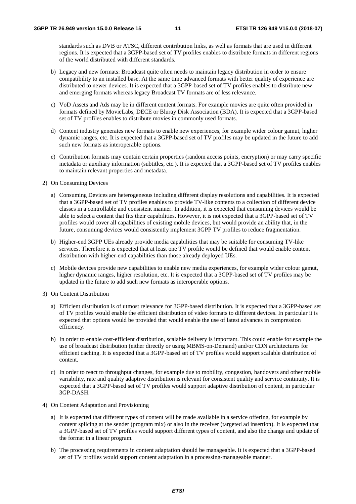standards such as DVB or ATSC, different contribution links, as well as formats that are used in different regions. It is expected that a 3GPP-based set of TV profiles enables to distribute formats in different regions of the world distributed with different standards.

- b) Legacy and new formats: Broadcast quite often needs to maintain legacy distribution in order to ensure compatibility to an installed base. At the same time advanced formats with better quality of experience are distributed to newer devices. It is expected that a 3GPP-based set of TV profiles enables to distribute new and emerging formats whereas legacy Broadcast TV formats are of less relevance.
- c) VoD Assets and Ads may be in different content formats. For example movies are quite often provided in formats defined by MovieLabs, DECE or Bluray Disk Association (BDA). It is expected that a 3GPP-based set of TV profiles enables to distribute movies in commonly used formats.
- d) Content industry generates new formats to enable new experiences, for example wider colour gamut, higher dynamic ranges, etc. It is expected that a 3GPP-based set of TV profiles may be updated in the future to add such new formats as interoperable options.
- e) Contribution formats may contain certain properties (random access points, encryption) or may carry specific metadata or auxiliary information (subtitles, etc.). It is expected that a 3GPP-based set of TV profiles enables to maintain relevant properties and metadata.
- 2) On Consuming Devices
	- a) Consuming Devices are heterogeneous including different display resolutions and capabilities. It is expected that a 3GPP-based set of TV profiles enables to provide TV-like contents to a collection of different device classes in a controllable and consistent manner. In addition, it is expected that consuming devices would be able to select a content that fits their capabilities. However, it is not expected that a 3GPP-based set of TV profiles would cover all capabilities of existing mobile devices, but would provide an ability that, in the future, consuming devices would consistently implement 3GPP TV profiles to reduce fragmentation.
	- b) Higher-end 3GPP UEs already provide media capabilities that may be suitable for consuming TV-like services. Therefore it is expected that at least one TV profile would be defined that would enable content distribution with higher-end capabilities than those already deployed UEs.
	- c) Mobile devices provide new capabilities to enable new media experiences, for example wider colour gamut, higher dynamic ranges, higher resolution, etc. It is expected that a 3GPP-based set of TV profiles may be updated in the future to add such new formats as interoperable options.
- 3) On Content Distribution
	- a) Efficient distribution is of utmost relevance for 3GPP-based distribution. It is expected that a 3GPP-based set of TV profiles would enable the efficient distribution of video formats to different devices. In particular it is expected that options would be provided that would enable the use of latest advances in compression efficiency.
	- b) In order to enable cost-efficient distribution, scalable delivery is important. This could enable for example the use of broadcast distribution (either directly or using MBMS-on-Demand) and/or CDN architectures for efficient caching. It is expected that a 3GPP-based set of TV profiles would support scalable distribution of content.
	- c) In order to react to throughput changes, for example due to mobility, congestion, handovers and other mobile variability, rate and quality adaptive distribution is relevant for consistent quality and service continuity. It is expected that a 3GPP-based set of TV profiles would support adaptive distribution of content, in particular 3GP-DASH.
- 4) On Content Adaptation and Provisioning
	- a) It is expected that different types of content will be made available in a service offering, for example by content splicing at the sender (program mix) or also in the receiver (targeted ad insertion). It is expected that a 3GPP-based set of TV profiles would support different types of content, and also the change and update of the format in a linear program.
	- b) The processing requirements in content adaptation should be manageable. It is expected that a 3GPP-based set of TV profiles would support content adaptation in a processing-manageable manner.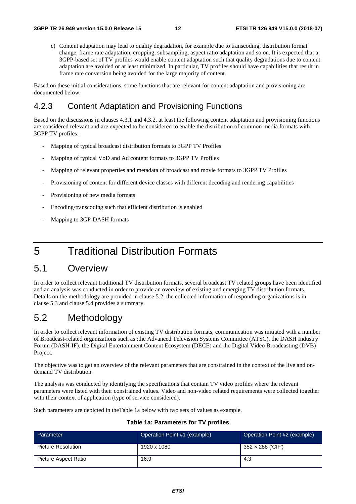c) Content adaptation may lead to quality degradation, for example due to transcoding, distribution format change, frame rate adaptation, cropping, subsampling, aspect ratio adaptation and so on. It is expected that a 3GPP-based set of TV profiles would enable content adaptation such that quality degradations due to content adaptation are avoided or at least minimized. In particular, TV profiles should have capabilities that result in frame rate conversion being avoided for the large majority of content.

Based on these initial considerations, some functions that are relevant for content adaptation and provisioning are documented below.

### 4.2.3 Content Adaptation and Provisioning Functions

Based on the discussions in clauses 4.3.1 and 4.3.2, at least the following content adaptation and provisioning functions are considered relevant and are expected to be considered to enable the distribution of common media formats with 3GPP TV profiles:

- Mapping of typical broadcast distribution formats to 3GPP TV Profiles
- Mapping of typical VoD and Ad content formats to 3GPP TV Profiles
- Mapping of relevant properties and metadata of broadcast and movie formats to 3GPP TV Profiles
- Provisioning of content for different device classes with different decoding and rendering capabilities
- Provisioning of new media formats
- Encoding/transcoding such that efficient distribution is enabled
- Mapping to 3GP-DASH formats

# 5 Traditional Distribution Formats

### 5.1 Overview

In order to collect relevant traditional TV distribution formats, several broadcast TV related groups have been identified and an analysis was conducted in order to provide an overview of existing and emerging TV distribution formats. Details on the methodology are provided in clause 5.2, the collected information of responding organizations is in clause 5.3 and clause 5.4 provides a summary.

# 5.2 Methodology

In order to collect relevant information of existing TV distribution formats, communication was initiated with a number of Broadcast-related organizations such as :the Advanced Television Systems Committee (ATSC), the DASH Industry Forum (DASH-IF), the Digital Entertainment Content Ecosystem (DECE) and the Digital Video Broadcasting (DVB) Project.

The objective was to get an overview of the relevant parameters that are constrained in the context of the live and ondemand TV distribution.

The analysis was conducted by identifying the specifications that contain TV video profiles where the relevant parameters were listed with their constrained values. Video and non-video related requirements were collected together with their context of application (type of service considered).

Such parameters are depicted in theTable 1a below with two sets of values as example.

#### **Table 1a: Parameters for TV profiles**

| Parameter            | Operation Point #1 (example) | Operation Point #2 (example) |
|----------------------|------------------------------|------------------------------|
| Picture Resolution   | 1920 x 1080                  | 352 × 288 ('CIF')            |
| Picture Aspect Ratio | 16:9                         | 4:3                          |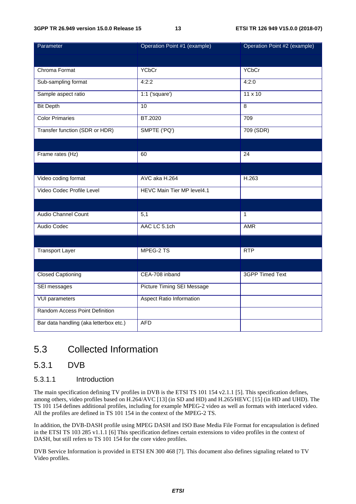| Parameter                              | Operation Point #1 (example)    | Operation Point #2 (example) |
|----------------------------------------|---------------------------------|------------------------------|
|                                        |                                 |                              |
| Chroma Format                          | <b>YCbCr</b>                    | <b>YCbCr</b>                 |
| Sub-sampling format                    | 4:2:2                           | 4:2:0                        |
| Sample aspect ratio                    | $1:1$ ('square')                | $11 \times 10$               |
| <b>Bit Depth</b>                       | 10                              | 8                            |
| <b>Color Primaries</b>                 | <b>BT.2020</b>                  | 709                          |
| Transfer function (SDR or HDR)         | SMPTE ('PQ')                    | 709 (SDR)                    |
|                                        |                                 |                              |
| Frame rates (Hz)                       | 60                              | 24                           |
|                                        |                                 |                              |
| Video coding format                    | AVC aka H.264                   | H.263                        |
| Video Codec Profile Level              | HEVC Main Tier MP level4.1      |                              |
|                                        |                                 |                              |
| <b>Audio Channel Count</b>             | 5,1                             | $\mathbf{1}$                 |
| Audio Codec                            | AAC LC 5.1ch                    | <b>AMR</b>                   |
|                                        |                                 |                              |
| <b>Transport Layer</b>                 | MPEG-2 TS                       | RTP                          |
|                                        |                                 |                              |
| <b>Closed Captioning</b>               | CEA-708 inband                  | <b>3GPP Timed Text</b>       |
| SEI messages                           | Picture Timing SEI Message      |                              |
| <b>VUI parameters</b>                  | <b>Aspect Ratio Information</b> |                              |
| Random Access Point Definition         |                                 |                              |
| Bar data handling (aka letterbox etc.) | <b>AFD</b>                      |                              |

# 5.3 Collected Information

### 5.3.1 DVB

#### 5.3.1.1 Introduction

The main specification defining TV profiles in DVB is the ETSI TS 101 154 v2.1.1 [5]. This specification defines, among others, video profiles based on H.264/AVC [13] (in SD and HD) and H.265/HEVC [15] (in HD and UHD). The TS 101 154 defines additional profiles, including for example MPEG-2 video as well as formats with interlaced video. All the profiles are defined in TS 101 154 in the context of the MPEG-2 TS.

In addition, the DVB-DASH profile using MPEG DASH and ISO Base Media File Format for encapsulation is defined in the ETSI TS 103 285 v1.1.1 [6] This specification defines certain extensions to video profiles in the context of DASH, but still refers to TS 101 154 for the core video profiles.

DVB Service Information is provided in ETSI EN 300 468 [7]. This document also defines signaling related to TV Video profiles.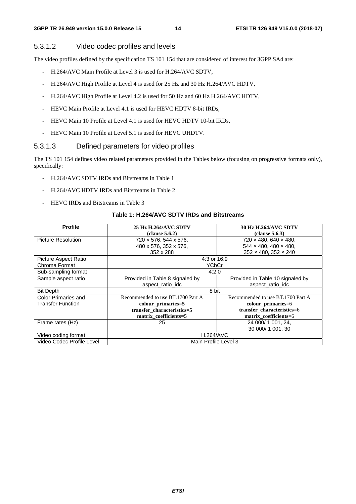#### 5.3.1.2 Video codec profiles and levels

The video profiles defined by the specification TS 101 154 that are considered of interest for 3GPP SA4 are:

- H.264/AVC Main Profile at Level 3 is used for H.264/AVC SDTV,
- H.264/AVC High Profile at Level 4 is used for 25 Hz and 30 Hz H.264/AVC HDTV,
- H.264/AVC High Profile at Level 4.2 is used for 50 Hz and 60 Hz H.264/AVC HDTV,
- HEVC Main Profile at Level 4.1 is used for HEVC HDTV 8-bit IRDs,
- HEVC Main 10 Profile at Level 4.1 is used for HEVC HDTV 10-bit IRDs,
- HEVC Main 10 Profile at Level 5.1 is used for HEVC UHDTV.

#### 5.3.1.3 Defined parameters for video profiles

The TS 101 154 defines video related parameters provided in the Tables below (focusing on progressive formats only), specifically:

- H.264/AVC SDTV IRDs and Bitstreams in Table 1
- H.264/AVC HDTV IRDs and Bitstreams in Table 2
- HEVC IRDs and Bitstreams in Table 3

#### **Table 1: H.264/AVC SDTV IRDs and Bitstreams**

| <b>Profile</b>             | <b>25 Hz H.264/AVC SDTV</b>       | <b>30 Hz H.264/AVC SDTV</b>       |  |
|----------------------------|-----------------------------------|-----------------------------------|--|
|                            | clause 5.6.2)                     | clause 5.6.3)                     |  |
| <b>Picture Resolution</b>  | 720 × 576, 544 x 576,             | 720 × 480, 640 × 480,             |  |
|                            | 480 x 576, 352 x 576,             | $544 \times 480, 480 \times 480,$ |  |
|                            | 352 x 288                         | $352 \times 480, 352 \times 240$  |  |
| Picture Aspect Ratio       | 4:3 or 16:9                       |                                   |  |
| Chroma Format              | <b>YCbCr</b>                      |                                   |  |
| Sub-sampling format        | 4:2:0                             |                                   |  |
| Sample aspect ratio        | Provided in Table 8 signaled by   | Provided in Table 10 signaled by  |  |
|                            | aspect_ratio_idc                  | aspect ratio idc                  |  |
| <b>Bit Depth</b>           | 8 bit                             |                                   |  |
| <b>Color Primaries and</b> | Recommended to use BT.1700 Part A | Recommended to use BT.1700 Part A |  |
| <b>Transfer Function</b>   | colour_primaries=5                | colour_primaries=6                |  |
|                            | transfer characteristics=5        | transfer characteristics=6        |  |
|                            | matrix coefficients=5             | matrix coefficients=6             |  |
| Frame rates (Hz)           | 25                                | 24 000/1 001, 24,                 |  |
|                            |                                   | 30 000/1 001, 30                  |  |
| Video coding format        | <b>H.264/AVC</b>                  |                                   |  |
| Video Codec Profile Level  | Main Profile Level 3              |                                   |  |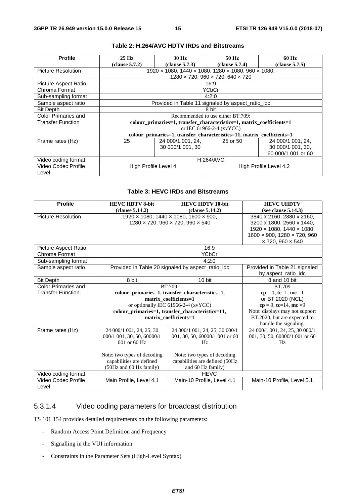| <b>Profile</b>            | 25 Hz                    | 30 Hz                                                                       | 50 Hz                             | 60 Hz                  |  |
|---------------------------|--------------------------|-----------------------------------------------------------------------------|-----------------------------------|------------------------|--|
|                           | clause 5.7.2)            | clause 5.7.3)                                                               | clause 5.7.4)                     | clause 5.7.5)          |  |
| <b>Picture Resolution</b> |                          | 1920 x 1080, 1440 x 1080, 1280 x 1080, 960 x 1080,                          |                                   |                        |  |
|                           |                          | $1280 \times 720$ , 960 $\times$ 720, 640 $\times$ 720                      |                                   |                        |  |
| Picture Aspect Ratio      |                          |                                                                             | 16:9                              |                        |  |
| Chroma Format             |                          |                                                                             | YCbCr                             |                        |  |
| Sub-sampling format       |                          |                                                                             | 4:2:0                             |                        |  |
| Sample aspect ratio       |                          | Provided in Table 11 signaled by aspect_ratio_idc                           |                                   |                        |  |
| <b>Bit Depth</b>          |                          |                                                                             | 8 bit                             |                        |  |
| Color Primaries and       |                          |                                                                             | Recommended to use either BT.709: |                        |  |
| <b>Transfer Function</b>  |                          | colour primaries = 1, transfer characteristics = 1, matrix coefficients = 1 |                                   |                        |  |
|                           | or IEC 61966-2-4 (xvYCC) |                                                                             |                                   |                        |  |
|                           |                          | colour_primaries=1, transfer_characteristics=11, matrix_coefficients=1      |                                   |                        |  |
| Frame rates (Hz)          | 25                       | 24 000/1 001, 24,                                                           | 25 or 50                          | 24 000/1 001, 24,      |  |
|                           |                          | 30 000/1 001, 30                                                            |                                   | 30 000/1 001, 30,      |  |
|                           |                          |                                                                             |                                   | 60 000/1 001 or 60     |  |
| Video coding format       | <b>H.264/AVC</b>         |                                                                             |                                   |                        |  |
| Video Codec Profile       | High Profile Level 4     |                                                                             |                                   | High Profile Level 4.2 |  |
| Level                     |                          |                                                                             |                                   |                        |  |

#### **Table 2: H.264/AVC HDTV IRDs and Bitstreams**

#### **Table 3: HEVC IRDs and Bitstreams**

| <b>Profile</b>            | <b>HEVC HDTV 8-bit</b>                                     | <b>HEVC HDTV 10-bit</b>                                 | <b>HEVC UHDTV</b>              |
|---------------------------|------------------------------------------------------------|---------------------------------------------------------|--------------------------------|
|                           | clause 5.14.2)                                             | (clause 5.14.2)                                         | (see clause $5.14.3$ )         |
| <b>Picture Resolution</b> |                                                            | 1920 x 1080, 1440 x 1080, 1600 x 900,                   | 3840 x 2160, 2880 x 2160,      |
|                           |                                                            | $1280 \times 720$ , 960 $\times 720$ , 960 $\times 540$ | 3200 x 1800, 2560 x 1440,      |
|                           |                                                            |                                                         | 1920 x 1080, 1440 x 1080,      |
|                           |                                                            |                                                         | 1600 × 900, 1280 × 720, 960    |
|                           |                                                            |                                                         | $\times$ 720, 960 $\times$ 540 |
| Picture Aspect Ratio      |                                                            | 16:9                                                    |                                |
| Chroma Format             |                                                            | <b>YCbCr</b>                                            |                                |
| Sub-sampling format       |                                                            | 4:2:0                                                   |                                |
| Sample aspect ratio       |                                                            | Provided in Table 20 signaled by aspect_ratio_idc       | Provided in Table 21 signaled  |
|                           |                                                            |                                                         | by aspect_ratio_idc            |
| <b>Bit Depth</b>          | 8 bit                                                      | 10 bit                                                  | 8 and 10 bit                   |
| Color Primaries and       | BT.709:                                                    | BT.709                                                  |                                |
| <b>Transfer Function</b>  |                                                            | colour_primaries=1, transfer_characteristics=1,         | $cp = 1$ , tc=1, mc =1         |
|                           | matrix coefficients=1                                      |                                                         | or BT.2020 (NCL)               |
|                           | or optionally IEC 61966-2-4 (xvYCC)                        |                                                         | $cp = 9$ , tc=14, mc =9        |
|                           | colour_primaries=1, transfer_characteristics=11,           |                                                         | Note: displays may not support |
|                           |                                                            | matrix_coefficients=1                                   | BT.2020, but are expected to   |
|                           |                                                            |                                                         | handle the signaling.          |
| Frame rates (Hz)          | 24 000/1 001, 24, 25, 30                                   | 24 000/1 001, 24, 25, 30 000/1                          | 24 000/1 001, 24, 25, 30 000/1 |
|                           | 000/1 001, 30, 50, 60000/1                                 | 001, 30, 50, 60000/1 001 or 60                          | 001, 30, 50, 60000/1 001 or 60 |
|                           | 001 or 60 Hz                                               | Hz                                                      | Hz                             |
|                           |                                                            |                                                         |                                |
|                           | Note: two types of decoding<br>Note: two types of decoding |                                                         |                                |
|                           | capabilities are defined                                   | capabilities are defined (50Hz                          |                                |
|                           | (50Hz and 60 Hz family)<br>and 60 Hz family)               |                                                         |                                |
| Video coding format       |                                                            | <b>HEVC</b>                                             |                                |
| Video Codec Profile       | Main Profile, Level 4.1<br>Main-10 Profile, Level 4.1      |                                                         | Main-10 Profile, Level 5.1     |
| Level                     |                                                            |                                                         |                                |

### 5.3.1.4 Video coding parameters for broadcast distribution

TS 101 154 provides detailed requirements on the following parameters:

- Random Access Point Definition and Frequency
- Signalling in the VUI information
- Constraints in the Parameter Sets (High-Level Syntax)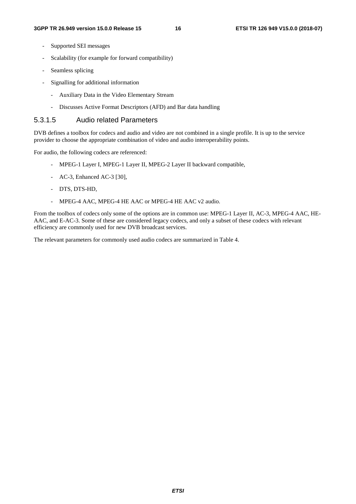- Supported SEI messages
- Scalability (for example for forward compatibility)
- Seamless splicing
- Signalling for additional information
	- Auxiliary Data in the Video Elementary Stream
	- Discusses Active Format Descriptors (AFD) and Bar data handling

#### 5.3.1.5 Audio related Parameters

DVB defines a toolbox for codecs and audio and video are not combined in a single profile. It is up to the service provider to choose the appropriate combination of video and audio interoperability points.

For audio, the following codecs are referenced:

- MPEG-1 Layer I, MPEG-1 Layer II, MPEG-2 Layer II backward compatible,
- AC-3, Enhanced AC-3 [30],
- DTS, DTS-HD,
- MPEG-4 AAC, MPEG-4 HE AAC or MPEG-4 HE AAC v2 audio.

From the toolbox of codecs only some of the options are in common use: MPEG-1 Layer II, AC-3, MPEG-4 AAC, HE-AAC, and E-AC-3. Some of these are considered legacy codecs, and only a subset of these codecs with relevant efficiency are commonly used for new DVB broadcast services.

The relevant parameters for commonly used audio codecs are summarized in Table 4.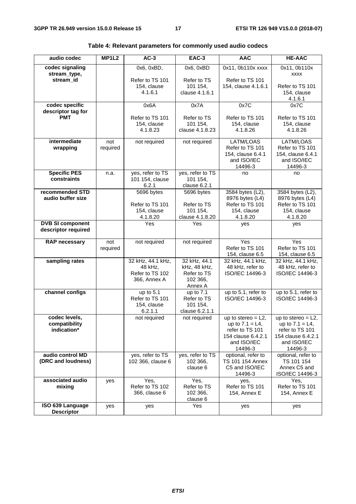| audio codec                                    | MP1L <sub>2</sub> | $AC-3$                                                          | EAC-3                                                              | <b>AAC</b>                                                                                                     | <b>HE-AAC</b>                                                                                                  |
|------------------------------------------------|-------------------|-----------------------------------------------------------------|--------------------------------------------------------------------|----------------------------------------------------------------------------------------------------------------|----------------------------------------------------------------------------------------------------------------|
| codec signaling<br>stream_type,                |                   | 0x6, 0xBD,                                                      | 0x6, 0xBD                                                          | 0x11, 0b110x xxxx                                                                                              | 0x11, 0b110x<br><b>XXXX</b>                                                                                    |
| stream_id                                      |                   | Refer to TS 101<br>154, clause<br>4.1.6.1                       | Refer to TS<br>101 154,<br>clause 4.1.6.1                          | Refer to TS 101<br>154, clause 4.1.6.1                                                                         | Refer to TS 101<br>154, clause<br>4.1.6.1                                                                      |
| codec specific<br>descriptor tag for           |                   | 0x6A                                                            | 0x7A                                                               | 0x7C                                                                                                           | 0x7C                                                                                                           |
| <b>PMT</b>                                     |                   | Refer to TS 101<br>154, clause<br>4.1.8.23                      | Refer to TS<br>101 154,<br>clause 4.1.8.23                         | Refer to TS 101<br>154, clause<br>4.1.8.26                                                                     | Refer to TS 101<br>154, clause<br>4.1.8.26                                                                     |
| intermediate<br>wrapping                       | not<br>required   | not required                                                    | not required                                                       | LATM/LOAS<br>Refer to TS 101<br>154, clause 6.4.1<br>and ISO/IEC<br>14496-3                                    | LATM/LOAS<br>Refer to TS 101<br>154, clause 6.4.1<br>and ISO/IEC<br>14496-3                                    |
| <b>Specific PES</b><br>constraints             | n.a.              | yes, refer to TS<br>101 154, clause<br>6.2.1                    | yes, refer to TS<br>101 154.<br>clause 6.2.1                       | no                                                                                                             | no                                                                                                             |
| recommended STD<br>audio buffer size           |                   | 5696 bytes<br>Refer to TS 101<br>154, clause<br>4.1.8.20        | 5696 bytes<br>Refer to TS<br>101 154,<br>clause 4.1.8.20           | 3584 bytes (L2),<br>8976 bytes (L4)<br>Refer to TS 101<br>154, clause<br>4.1.8.20                              | 3584 bytes (L2),<br>8976 bytes (L4)<br>Refer to TS 101<br>154, clause<br>4.1.8.20                              |
| <b>DVB SI component</b><br>descriptor required |                   | Yes                                                             | Yes                                                                | yes                                                                                                            | yes                                                                                                            |
| <b>RAP necessary</b>                           | not<br>required   | not required                                                    | not required                                                       | Yes<br>Refer to TS 101<br>154, clause 6.5                                                                      | Yes<br>Refer to TS 101<br>154, clause 6.5                                                                      |
| sampling rates                                 |                   | 32 kHz, 44.1 kHz,<br>48 kHz,<br>Refer to TS 102<br>366, Annex A | 32 kHz, 44.1<br>kHz, 48 kHz,<br>Refer to TS<br>102 366,<br>Annex A | 32 kHz, 44.1 kHz,<br>48 kHz, refer to<br>ISO/IEC 14496-3                                                       | 32 kHz, 44.1 kHz,<br>48 kHz, refer to<br>ISO/IEC 14496-3                                                       |
| channel configs                                |                   | up to 5.1<br>Refer to TS 101<br>154, clause<br>6.2.1.1          | up to 7.1<br>Refer to TS<br>101 154,<br>clause 6.2.1.1             | up to 5.1, refer to<br>ISO/IEC 14496-3                                                                         | up to 5.1, refer to<br>ISO/IEC 14496-3                                                                         |
| codec levels,<br>compatibility<br>indication*  |                   | not required                                                    | not required                                                       | up to stereo = $L2$ ,<br>up to $7.1 = L4$ ,<br>refer to TS 101<br>154 clause 6.4.2.1<br>and ISO/IEC<br>14496-3 | up to stereo $= L2$ ,<br>up to $7.1 = L4$ ,<br>refer to TS 101<br>154 clause 6.4.2.1<br>and ISO/IEC<br>14496-3 |
| audio control MD<br>(DRC and loudness)         |                   | yes, refer to TS<br>102 366, clause 6                           | yes, refer to TS<br>102 366,<br>clause 6                           | optional, refer to<br>TS 101 154 Annex<br>C5 and ISO/IEC<br>14496-3                                            | optional, refer to<br>TS 101 154<br>Annex C5 and<br>ISO/IEC 14496-3                                            |
| associated audio<br>mixing                     | yes               | Yes,<br>Refer to TS 102<br>366, clause 6                        | Yes,<br>Refer to TS<br>102 366,<br>clause 6                        | yes,<br>Refer to TS 101<br>154, Annex E                                                                        | Yes,<br>Refer to TS 101<br>154, Annex E                                                                        |
| ISO 639 Language<br><b>Descriptor</b>          | yes               | yes                                                             | Yes                                                                | yes                                                                                                            | yes                                                                                                            |

|  | Table 4: Relevant parameters for commonly used audio codecs |
|--|-------------------------------------------------------------|
|--|-------------------------------------------------------------|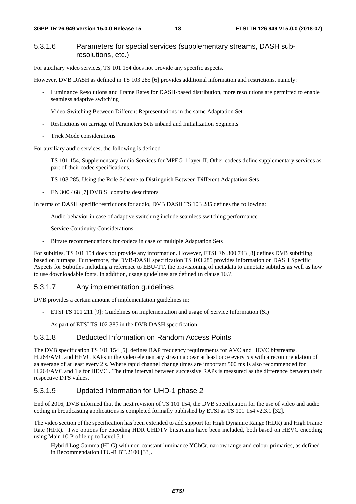#### 5.3.1.6 Parameters for special services (supplementary streams, DASH subresolutions, etc.)

For auxiliary video services, TS 101 154 does not provide any specific aspects.

However, DVB DASH as defined in TS 103 285 [6] provides additional information and restrictions, namely:

- Luminance Resolutions and Frame Rates for DASH-based distribution, more resolutions are permitted to enable seamless adaptive switching
- Video Switching Between Different Representations in the same Adaptation Set
- Restrictions on carriage of Parameters Sets inband and Initialization Segments
- Trick Mode considerations

For auxiliary audio services, the following is defined

- TS 101 154, Supplementary Audio Services for MPEG-1 layer II. Other codecs define supplementary services as part of their codec specifications.
- TS 103 285, Using the Role Scheme to Distinguish Between Different Adaptation Sets
- EN 300 468 [7] DVB SI contains descriptors

In terms of DASH specific restrictions for audio, DVB DASH TS 103 285 defines the following:

- Audio behavior in case of adaptive switching include seamless switching performance
- Service Continuity Considerations
- Bitrate recommendations for codecs in case of multiple Adaptation Sets

For subtitles, TS 101 154 does not provide any information. However, ETSI EN 300 743 [8] defines DVB subtitling based on bitmaps. Furthermore, the DVB-DASH specification TS 103 285 provides information on DASH Specific Aspects for Subtitles including a reference to EBU-TT, the provisioning of metadata to annotate subtitles as well as how to use downloadable fonts. In addition, usage guidelines are defined in clause 10.7.

#### 5.3.1.7 Any implementation guidelines

DVB provides a certain amount of implementation guidelines in:

- ETSI TS 101 211 [9]: Guidelines on implementation and usage of Service Information (SI)
- As part of ETSI TS 102 385 in the DVB DASH specification

#### 5.3.1.8 Deducted Information on Random Access Points

The DVB specification TS 101 154 [5], defines RAP frequency requirements for AVC and HEVC bitstreams. H.264/AVC and HEVC RAPs in the video elementary stream appear at least once every 5 s with a recommendation of aa average of at least every 2 s. Where rapid channel change times are important 500 ms is also recommended for H.264/AVC and 1 s for HEVC . The time interval between successive RAPs is measured as the difference between their respective DTS values.

#### 5.3.1.9 Updated Information for UHD-1 phase 2

End of 2016, DVB informed that the next revision of TS 101 154, the DVB specification for the use of video and audio coding in broadcasting applications is completed formally published by ETSI as TS 101 154 v2.3.1 [32].

The video section of the specification has been extended to add support for High Dynamic Range (HDR) and High Frame Rate (HFR). Two options for encoding HDR UHDTV bitstreams have been included, both based on HEVC encoding using Main 10 Profile up to Level 5.1:

- Hybrid Log Gamma (HLG) with non-constant luminance YCbCr, narrow range and colour primaries, as defined in Recommendation ITU-R BT.2100 [33].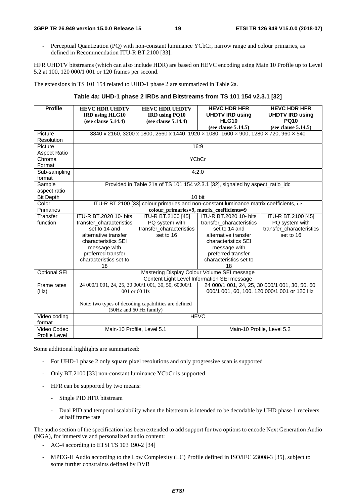- Perceptual Quantization (PQ) with non-constant luminance YCbCr, narrow range and colour primaries, as defined in Recommendation ITU-R BT.2100 [33].

HFR UHDTV bitstreams (which can also include HDR) are based on HEVC encoding using Main 10 Profile up to Level 5.2 at 100, 120 000/1 001 or 120 frames per second.

The extensions in TS 101 154 related to UHD-1 phase 2 are summarized in Table 2a.

#### **Table 4a: UHD-1 phase 2 IRDs and Bitstreams from TS 101 154 v2.3.1 [32]**

| <b>Profile</b>                                                                                   | <b>HEVC HDR UHDTV</b><br><b>IRD</b> using HLG10     | <b>HEVC HDR UHDTV</b><br><b>IRD</b> using PQ10                                        | <b>HEVC HDR HFR</b><br><b>UHDTV IRD using</b> | <b>HEVC HDR HFR</b><br><b>UHDTV IRD using</b>  |
|--------------------------------------------------------------------------------------------------|-----------------------------------------------------|---------------------------------------------------------------------------------------|-----------------------------------------------|------------------------------------------------|
|                                                                                                  | (see clause 5.14.4)                                 | (see clause 5.14.4)                                                                   | <b>HLG10</b>                                  | <b>PQ10</b>                                    |
|                                                                                                  |                                                     |                                                                                       | (see clause 5.14.5)                           | (see clause 5.14.5)                            |
| Picture                                                                                          |                                                     | 3840 x 2160, 3200 x 1800, 2560 x 1440, 1920 x 1080, 1600 x 900, 1280 x 720, 960 x 540 |                                               |                                                |
| Resolution                                                                                       |                                                     |                                                                                       |                                               |                                                |
| Picture                                                                                          |                                                     |                                                                                       | 16:9                                          |                                                |
| <b>Aspect Ratio</b>                                                                              |                                                     |                                                                                       |                                               |                                                |
| Chroma                                                                                           |                                                     |                                                                                       | <b>YCbCr</b>                                  |                                                |
| Format                                                                                           |                                                     |                                                                                       |                                               |                                                |
| Sub-sampling                                                                                     |                                                     |                                                                                       | 4:2:0                                         |                                                |
| format                                                                                           |                                                     |                                                                                       |                                               |                                                |
| Sample                                                                                           |                                                     | Provided in Table 21a of TS 101 154 v2.3.1 [32], signaled by aspect_ratio_idc         |                                               |                                                |
| aspect ratio                                                                                     |                                                     |                                                                                       |                                               |                                                |
| <b>Bit Depth</b>                                                                                 |                                                     |                                                                                       | 10 bit                                        |                                                |
| ITU-R BT.2100 [33] colour primaries and non-constant luminance matrix coefficients, i.e<br>Color |                                                     |                                                                                       |                                               |                                                |
| Primaries                                                                                        |                                                     |                                                                                       | colour_primaries=9, matrix_coefficients=9     |                                                |
| Transfer                                                                                         | ITU-R BT.2020 10- bits                              | ITU-R BT.2100 [45]                                                                    | ITU-R BT.2020 10- bits                        | ITU-R BT.2100 [45]                             |
| function                                                                                         | transfer_characteristics                            | PQ system with                                                                        | transfer_characteristics                      | PQ system with                                 |
|                                                                                                  | set to 14 and                                       | transfer_characteristics                                                              | set to 14 and                                 | transfer_characteristics                       |
|                                                                                                  | alternative transfer                                | set to 16                                                                             | alternative transfer                          | set to 16                                      |
|                                                                                                  | characteristics SEI                                 |                                                                                       | characteristics SEI                           |                                                |
|                                                                                                  | message with                                        |                                                                                       | message with                                  |                                                |
|                                                                                                  | preferred transfer                                  |                                                                                       | preferred transfer                            |                                                |
|                                                                                                  | characteristics set to                              |                                                                                       | characteristics set to                        |                                                |
|                                                                                                  | 18                                                  |                                                                                       | 18                                            |                                                |
| <b>Optional SEI</b>                                                                              |                                                     |                                                                                       | Mastering Display Colour Volume SEI message   |                                                |
|                                                                                                  |                                                     |                                                                                       | Content Light Level Information SEI message   |                                                |
| Frame rates                                                                                      | 24 000/1 001, 24, 25, 30 000/1 001, 30, 50, 60000/1 |                                                                                       |                                               | 24 000/1 001, 24, 25, 30 000/1 001, 30, 50, 60 |
| (Hz)                                                                                             |                                                     | 001 or 60 Hz                                                                          |                                               | 000/1 001, 60, 100, 120 000/1 001 or 120 Hz    |
|                                                                                                  |                                                     | Note: two types of decoding capabilities are defined                                  |                                               |                                                |
|                                                                                                  |                                                     | (50Hz and 60 Hz family)                                                               |                                               |                                                |
| Video coding<br>format                                                                           |                                                     |                                                                                       | <b>HEVC</b>                                   |                                                |
| Video Codec                                                                                      | Main-10 Profile, Level 5.1                          |                                                                                       |                                               | Main-10 Profile, Level 5.2                     |
| <b>Profile Level</b>                                                                             |                                                     |                                                                                       |                                               |                                                |

Some additional highlights are summarized:

- For UHD-1 phase 2 only square pixel resolutions and only progressive scan is supported
- Only BT.2100 [33] non-constant luminance YCbCr is supported
- HFR can be supported by two means:
	- Single PID HFR bitstream
	- Dual PID and temporal scalability when the bitstream is intended to be decodable by UHD phase 1 receivers at half frame rate

The audio section of the specification has been extended to add support for two options to encode Next Generation Audio (NGA), for immersive and personalized audio content:

- AC-4 according to ETSI TS 103 190-2 [34]
- MPEG-H Audio according to the Low Complexity (LC) Profile defined in ISO/IEC 23008-3 [35], subject to some further constraints defined by DVB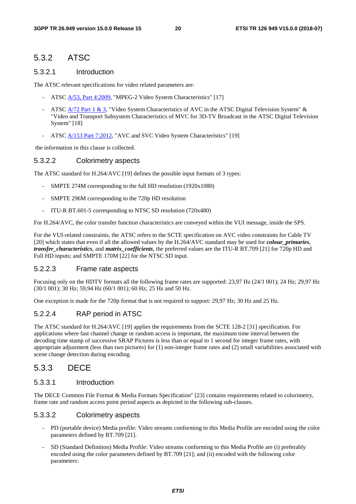### 5.3.2 ATSC

#### 5.3.2.1 Introduction

The ATSC relevant specifications for video related parameters are:

- ATSC [A/53, Part 4:2009](http://www.atsc.org/cms/standards/a53/a_53-Part-4-2009.pdf), "MPEG-2 Video System Characteristics" [17]
- ATSC [A/72 Part 1 & 3](http://www.atsc.org/cms/index.php/standards/standards/57-atsc-a72-standard), "Video System Characteristics of AVC in the ATSC Digital Television System" & "Video and Transport Subsystem Characteristics of MVC for 3D-TV Broadcast in the ATSC Digital Television System" [18]
- ATSC [A/153 Part 7:2012](http://www.atsc.org/cms/standards/a153/a_153-Part-7-2012.pdf), "AVC and SVC Video System Characteristics" [19]

the information in this clause is collected.

#### 5.3.2.2 Colorimetry aspects

The ATSC standard for H.264/AVC [19] defines the possible input formats of 3 types:

- SMPTE 274M corresponding to the full HD resolution (1920x1080)
- SMPTE 296M corresponding to the 720p HD resolution
- ITU-R BT.601-5 corresponding to NTSC SD resolution (720x480)

For H.264/AVC, the color transfer function characteristics are conveyed within the VUI message, inside the SPS.

For the VUI-related constraints, the ATSC refers to the SCTE specification on AVC video constraints for Cable TV [20] which states that even if all the allowed values by the H.264/AVC standard may be used for *colour\_primaries, transfer\_characteristics*, and *matrix\_coefficients*, the preferred values are the ITU-R BT.709 [21] for 720p HD and Full HD inputs; and SMPTE 170M [22] for the NTSC SD input.

#### 5.2.2.3 Frame rate aspects

Focusing only on the HDTV formats all the following frame rates are supported: 23,97 Hz (24/1 001); 24 Hz; 29,97 Hz (30/1 001); 30 Hz; 59,94 Hz (60/1 001); 60 Hz; 25 Hz and 50 Hz.

One exception is made for the 720p format that is not required to support: 29,97 Hz; 30 Hz and 25 Hz.

#### 5.2.2.4 RAP period in ATSC

The ATSC standard for H.264/AVC [19] applies the requirements from the SCTE 128-2 [31] specification. For applications where fast channel change or random access is important, the maximum time interval between the decoding time stamp of successive SRAP Pictures is less than or equal to 1 second for integer frame rates, with appropriate adjustment (less than two pictures) for (1) non-integer frame rates and (2) small variabilities associated with scene change detection during encoding.

### 5.3.3 DECE

#### 5.3.3.1 Introduction

The DECE Common File Format & Media Formats Specification" [23] contains requirements related to colorimetry, frame rate and random access point period aspects as depicted in the following sub-clauses.

#### 5.3.3.2 Colorimetry aspects

- PD (portable device) Media profile: Video streams conforming to this Media Profile are encoded using the color parameters defined by BT.709 [21].
- SD (Standard Definition) Media Profile: Video streams conforming to this Media Profile are (i) preferably encoded using the color parameters defined by BT.709 [21]; and (ii) encoded with the following color parameters: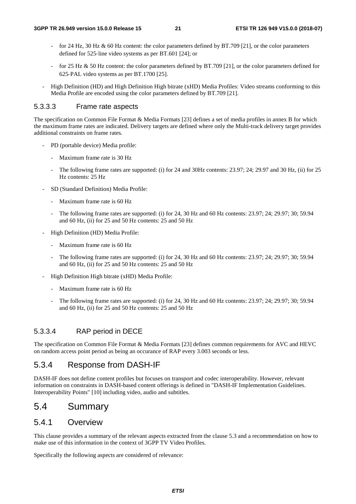- for 24 Hz, 30 Hz & 60 Hz content: the color parameters defined by BT.709 [21], or the color parameters defined for 525-line video systems as per BT.601 [24]; or
- -line video systems as per BT.601 [24]; or<br>Hz content: the color parameters defined b<br>systems as per BT.1700 [25]. - for 25 Hz & 50 Hz content: the color parameters defined by BT.709 [21], or the color parameters defined for 625-PAL video systems as per BT.1700 [25].
- ‐PAL video systems as per BT.1700 [25]. - High Definition (HD) and High Definition High bitrate (xHD) Media Profiles: Video streams conforming to this Media Profile are encoded using the color parameters defined by BT.709 [21].

#### 5.3.3.3 Frame rate aspects

The specification on Common File Format & Media Formats [23] defines a set of media profiles in annex B for which the maximum frame rates are indicated. Delivery targets are defined where only the Multi-track delivery target provides additional constraints on frame rates.

- PD (portable device) Media profile:
	- Maximum frame rate is 30 Hz
	- The following frame rates are supported: (i) for 24 and 30Hz contents: 23.97; 24; 29.97 and 30 Hz, (ii) for 25 Hz contents: 25 Hz
- SD (Standard Definition) Media Profile:
	- Maximum frame rate is 60 Hz
	- The following frame rates are supported: (i) for 24, 30 Hz and 60 Hz contents: 23.97; 24; 29.97; 30; 59.94 and 60 Hz, (ii) for 25 and 50 Hz contents: 25 and 50 Hz
- High Definition (HD) Media Profile:
	- Maximum frame rate is 60 Hz
	- The following frame rates are supported: (i) for 24, 30 Hz and 60 Hz contents: 23.97; 24; 29.97; 30; 59.94 and 60 Hz, (ii) for 25 and 50 Hz contents: 25 and 50 Hz
- High Definition High bitrate (xHD) Media Profile:
	- Maximum frame rate is 60 Hz
	- The following frame rates are supported: (i) for 24, 30 Hz and 60 Hz contents: 23.97; 24; 29.97; 30; 59.94 and 60 Hz, (ii) for 25 and 50 Hz contents: 25 and 50 Hz

#### 5.3.3.4 RAP period in DECE

The specification on Common File Format & Media Formats [23] defines common requirements for AVC and HEVC on random access point period as being an occurance of RAP every 3.003 seconds or less.

### 5.3.4 Response from DASH-IF

DASH-IF does not define content profiles but focuses on transport and codec interoperability. However, relevant information on constraints in DASH-based content offerings is defined in "DASH-IF Implementation Guidelines. Interoperability Points" [10] including video, audio and subtitles.

### 5.4 Summary

### 5.4.1 Overview

This clause provides a summary of the relevant aspects extracted from the clause 5.3 and a recommendation on how to make use of this information in the context of 3GPP TV Video Profiles.

Specifically the following aspects are considered of relevance: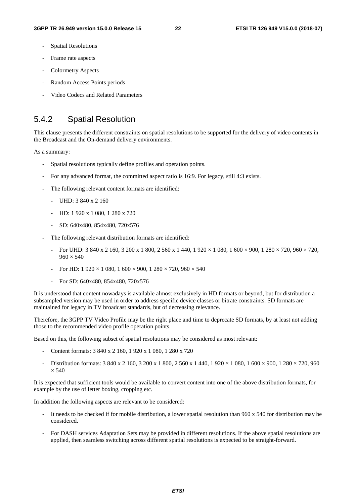- Spatial Resolutions
- Frame rate aspects
- Colormetry Aspects
- Random Access Points periods
- Video Codecs and Related Parameters

### 5.4.2 Spatial Resolution

This clause presents the different constraints on spatial resolutions to be supported for the delivery of video contents in the Broadcast and the On-demand delivery environments.

As a summary:

- Spatial resolutions typically define profiles and operation points.
- For any advanced format, the committed aspect ratio is 16:9. For legacy, still 4:3 exists.
- The following relevant content formats are identified:
	- UHD: 3 840 x 2 160
	- HD: 1 920 x 1 080, 1 280 x 720
	- SD: 640x480, 854x480, 720x576
- The following relevant distribution formats are identified:
	- For UHD:  $3\,840 \times 2\,160$ ,  $3\,200 \times 1\,800$ ,  $2\,560 \times 1\,440$ ,  $1\,920 \times 1\,080$ ,  $1\,600 \times 900$ ,  $1\,280 \times 720$ ,  $960 \times 720$ ,  $960 \times 540$
	- For HD:  $1\,920 \times 1\,080$ ,  $1\,600 \times 900$ ,  $1\,280 \times 720$ ,  $960 \times 540$
	- For SD: 640x480, 854x480, 720x576

It is understood that content nowadays is available almost exclusively in HD formats or beyond, but for distribution a subsampled version may be used in order to address specific device classes or bitrate constraints. SD formats are maintained for legacy in TV broadcast standards, but of decreasing relevance.

Therefore, the 3GPP TV Video Profile may be the right place and time to deprecate SD formats, by at least not adding those to the recommended video profile operation points.

Based on this, the following subset of spatial resolutions may be considered as most relevant:

- Content formats: 3 840 x 2 160, 1 920 x 1 080, 1 280 x 720
- Distribution formats: 3 840 x 2 160, 3 200 x 1 800, 2 560 x 1 440, 1 920 × 1 080, 1 600 × 900, 1 280 × 720, 960  $\times$  540

It is expected that sufficient tools would be available to convert content into one of the above distribution formats, for example by the use of letter boxing, cropping etc.

In addition the following aspects are relevant to be considered:

- It needs to be checked if for mobile distribution, a lower spatial resolution than  $960 \times 540$  for distribution may be considered.
- For DASH services Adaptation Sets may be provided in different resolutions. If the above spatial resolutions are applied, then seamless switching across different spatial resolutions is expected to be straight-forward.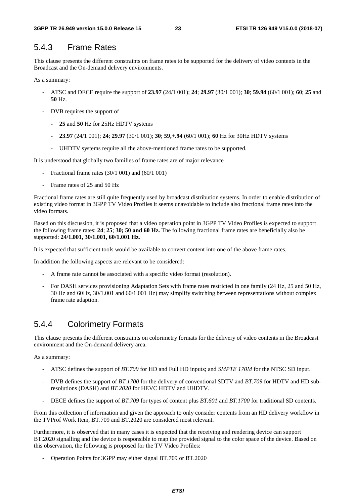# 5.4.3 Frame Rates

This clause presents the different constraints on frame rates to be supported for the delivery of video contents in the Broadcast and the On-demand delivery environments.

As a summary:

- ATSC and DECE require the support of **23.97** (24/1 001); **24**; **29.97** (30/1 001); **30**; **59.94** (60/1 001); **60**; **25** and **50** Hz.
- DVB requires the support of
	- **25** and **50** Hz for 25Hz HDTV systems
	- **23.97** (24/1 001); **24**; **29.97** (30/1 001); **30**; **59,+.94** (60/1 001); **60** Hz for 30Hz HDTV systems
	- UHDTV systems require all the above-mentioned frame rates to be supported.

It is understood that globally two families of frame rates are of major relevance

- Fractional frame rates (30/1 001) and (60/1 001)
- Frame rates of 25 and 50 Hz

Fractional frame rates are still quite frequently used by broadcast distribution systems. In order to enable distribution of existing video format in 3GPP TV Video Profiles it seems unavoidable to include also fractional frame rates into the video formats.

Based on this discussion, it is proposed that a video operation point in 3GPP TV Video Profiles is expected to support the following frame rates: **24**; **25**; **30; 50 and 60 Hz.** The following fractional frame rates are beneficially also be supported: **24/1.001, 30/1.001, 60/1.001 Hz**.

It is expected that sufficient tools would be available to convert content into one of the above frame rates.

In addition the following aspects are relevant to be considered:

- A frame rate cannot be associated with a specific video format (resolution).
- For DASH services provisioning Adaptation Sets with frame rates restricted in one family (24 Hz, 25 and 50 Hz, 30 Hz and 60Hz, 30/1.001 and 60/1.001 Hz) may simplify switching between representations without complex frame rate adaption.

## 5.4.4 Colorimetry Formats

This clause presents the different constraints on colorimetry formats for the delivery of video contents in the Broadcast environment and the On-demand delivery area.

As a summary:

- ATSC defines the support of *BT.709* for HD and Full HD inputs; and *SMPTE 170M* for the NTSC SD input.
- DVB defines the support of *BT.1700* for the delivery of conventional SDTV and *BT.709* for HDTV and HD subresolutions (DASH) and *BT.2020* for HEVC HDTV and UHDTV.
- DECE defines the support of *BT.709* for types of content plus *BT.601* and *BT.1700* for traditional SD contents.

From this collection of information and given the approach to only consider contents from an HD delivery workflow in the TVProf Work Item, BT.709 and BT.2020 are considered most relevant.

Furthermore, it is observed that in many cases it is expected that the receiving and rendering device can support BT.2020 signalling and the device is responsible to map the provided signal to the color space of the device. Based on this observation, the following is proposed for the TV Video Profiles:

- Operation Points for 3GPP may either signal BT.709 or BT.2020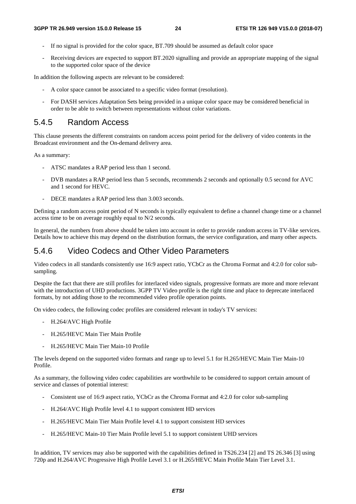- If no signal is provided for the color space, BT.709 should be assumed as default color space
- Receiving devices are expected to support BT.2020 signalling and provide an appropriate mapping of the signal to the supported color space of the device

In addition the following aspects are relevant to be considered:

- A color space cannot be associated to a specific video format (resolution).
- For DASH services Adaptation Sets being provided in a unique color space may be considered beneficial in order to be able to switch between representations without color variations.

### 5.4.5 Random Access

This clause presents the different constraints on random access point period for the delivery of video contents in the Broadcast environment and the On-demand delivery area.

As a summary:

- ATSC mandates a RAP period less than 1 second.
- DVB mandates a RAP period less than 5 seconds, recommends 2 seconds and optionally 0.5 second for AVC and 1 second for HEVC.
- DECE mandates a RAP period less than 3.003 seconds.

Defining a random access point period of N seconds is typically equivalent to define a channel change time or a channel access time to be on average roughly equal to N/2 seconds.

In general, the numbers from above should be taken into account in order to provide random access in TV-like services. Details how to achieve this may depend on the distribution formats, the service configuration, and many other aspects.

#### 5.4.6 Video Codecs and Other Video Parameters

Video codecs in all standards consistently use 16:9 aspect ratio, YCbCr as the Chroma Format and 4:2.0 for color subsampling.

Despite the fact that there are still profiles for interlaced video signals, progressive formats are more and more relevant with the introduction of UHD productions. 3GPP TV Video profile is the right time and place to deprecate interlaced formats, by not adding those to the recommended video profile operation points.

On video codecs, the following codec profiles are considered relevant in today's TV services:

- H.264/AVC High Profile
- H.265/HEVC Main Tier Main Profile
- H.265/HEVC Main Tier Main-10 Profile

The levels depend on the supported video formats and range up to level 5.1 for H.265/HEVC Main Tier Main-10 Profile.

As a summary, the following video codec capabilities are worthwhile to be considered to support certain amount of service and classes of potential interest:

- Consistent use of 16:9 aspect ratio, YCbCr as the Chroma Format and 4:2.0 for color sub-sampling
- H.264/AVC High Profile level 4.1 to support consistent HD services
- H.265/HEVC Main Tier Main Profile level 4.1 to support consistent HD services
- H.265/HEVC Main-10 Tier Main Profile level 5.1 to support consistent UHD services

In addition, TV services may also be supported with the capabilities defined in TS26.234 [2] and TS 26.346 [3] using 720p and H.264/AVC Progressive High Profile Level 3.1 or H.265/HEVC Main Profile Main Tier Level 3.1.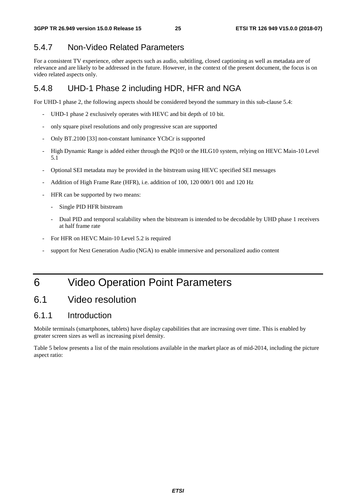# 5.4.7 Non-Video Related Parameters

For a consistent TV experience, other aspects such as audio, subtitling, closed captioning as well as metadata are of relevance and are likely to be addressed in the future. However, in the context of the present document, the focus is on video related aspects only.

## 5.4.8 UHD-1 Phase 2 including HDR, HFR and NGA

For UHD-1 phase 2, the following aspects should be considered beyond the summary in this sub-clause 5.4:

- UHD-1 phase 2 exclusively operates with HEVC and bit depth of 10 bit.
- only square pixel resolutions and only progressive scan are supported
- Only BT.2100 [33] non-constant luminance YCbCr is supported
- High Dynamic Range is added either through the PQ10 or the HLG10 system, relying on HEVC Main-10 Level 5.1
- Optional SEI metadata may be provided in the bitstream using HEVC specified SEI messages
- Addition of High Frame Rate (HFR), i.e. addition of 100, 120 000/1 001 and 120 Hz
- HFR can be supported by two means:
	- Single PID HFR bitstream
	- Dual PID and temporal scalability when the bitstream is intended to be decodable by UHD phase 1 receivers at half frame rate
- For HFR on HEVC Main-10 Level 5.2 is required
- support for Next Generation Audio (NGA) to enable immersive and personalized audio content

# 6 Video Operation Point Parameters

# 6.1 Video resolution

### 6.1.1 Introduction

Mobile terminals (smartphones, tablets) have display capabilities that are increasing over time. This is enabled by greater screen sizes as well as increasing pixel density.

Table 5 below presents a list of the main resolutions available in the market place as of mid-2014, including the picture aspect ratio: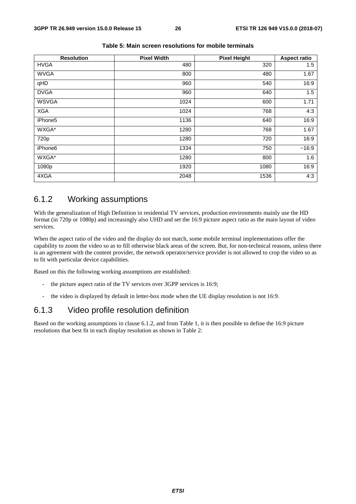| <b>Resolution</b> | <b>Pixel Width</b> | <b>Pixel Height</b> | <b>Aspect ratio</b> |
|-------------------|--------------------|---------------------|---------------------|
| <b>HVGA</b>       | 480                | 320                 | 1.5                 |
| <b>WVGA</b>       | 800                | 480                 | 1.67                |
| qHD               | 960                | 540                 | 16:9                |
| <b>DVGA</b>       | 960                | 640                 | 1.5                 |
| <b>WSVGA</b>      | 1024               | 600                 | 1.71                |
| <b>XGA</b>        | 1024               | 768                 | 4:3                 |
| iPhone5           | 1136               | 640                 | 16:9                |
| WXGA*             | 1280               | 768                 | 1.67                |
| 720p              | 1280               | 720                 | 16:9                |
| iPhone6           | 1334               | 750                 | ~16:9               |
| WXGA*             | 1280               | 800                 | 1.6                 |
| 1080p             | 1920               | 1080                | 16:9                |
| 4XGA              | 2048               | 1536                | 4:3                 |

#### **Table 5: Main screen resolutions for mobile terminals**

### 6.1.2 Working assumptions

With the generalization of High Definition in residential TV services, production environments mainly use the HD format (in 720p or 1080p) and increasingly also UHD and set the 16:9 picture aspect ratio as the main layout of video services.

When the aspect ratio of the video and the display do not match, some mobile terminal implementations offer the capability to zoom the video so as to fill otherwise black areas of the screen. But, for non-technical reasons, unless there is an agreement with the content provider, the network operator/service provider is not allowed to crop the video so as to fit with particular device capabilities.

Based on this the following working assumptions are established:

- the picture aspect ratio of the TV services over 3GPP services is 16:9;
- the video is displayed by default in letter-box mode when the UE display resolution is not 16:9.

### 6.1.3 Video profile resolution definition

Based on the working assumptions in clause 6.1.2, and from Table 1, it is then possible to define the 16:9 picture resolutions that best fit in each display resolution as shown in Table 2: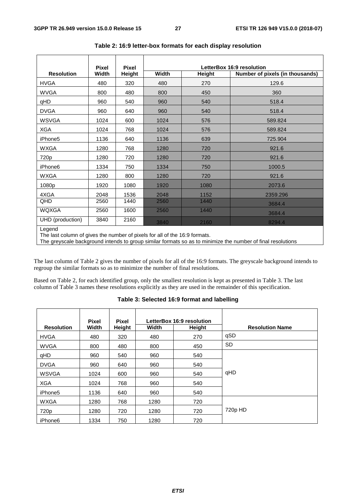|                                                                                      | <b>Pixel</b> | <b>Pixel</b> |              |        | LetterBox 16:9 resolution       |  |
|--------------------------------------------------------------------------------------|--------------|--------------|--------------|--------|---------------------------------|--|
| <b>Resolution</b>                                                                    | Width        | Height       | <b>Width</b> | Height | Number of pixels (in thousands) |  |
| <b>HVGA</b>                                                                          | 480          | 320          | 480          | 270    | 129.6                           |  |
| <b>WVGA</b>                                                                          | 800          | 480          | 800          | 450    | 360                             |  |
| qHD                                                                                  | 960          | 540          | 960          | 540    | 518.4                           |  |
| <b>DVGA</b>                                                                          | 960          | 640          | 960          | 540    | 518.4                           |  |
| <b>WSVGA</b>                                                                         | 1024         | 600          | 1024         | 576    | 589.824                         |  |
| <b>XGA</b>                                                                           | 1024         | 768          | 1024         | 576    | 589.824                         |  |
| iPhone5                                                                              | 1136         | 640          | 1136         | 639    | 725.904                         |  |
| <b>WXGA</b>                                                                          | 1280         | 768          | 1280         | 720    | 921.6                           |  |
| 720p                                                                                 | 1280         | 720          | 1280         | 720    | 921.6                           |  |
| iPhone <sub>6</sub>                                                                  | 1334         | 750          | 1334         | 750    | 1000.5                          |  |
| <b>WXGA</b>                                                                          | 1280         | 800          | 1280         | 720    | 921.6                           |  |
| 1080p                                                                                | 1920         | 1080         | 1920         | 1080   | 2073.6                          |  |
| 4XGA                                                                                 | 2048         | 1536         | 2048         | 1152   | 2359.296                        |  |
| QHD                                                                                  | 2560         | 1440         | 2560         | 1440   | 3684.4                          |  |
| <b>WQXGA</b>                                                                         | 2560         | 1600         | 2560         | 1440   | 3684.4                          |  |
| UHD (production)                                                                     | 3840         | 2160         | 3840         | 2160   | 8294.4                          |  |
| Legend<br>The last column of gives the number of pixels for all of the 16:9 formats. |              |              |              |        |                                 |  |

**Table 2: 16:9 letter-box formats for each display resolution** 

The last column of gives the number of pixels for all of the 16:9 formats.

The greyscale background intends to group similar formats so as to minimize the number of final resolutions

The last column of Table 2 gives the number of pixels for all of the 16:9 formats. The greyscale background intends to regroup the similar formats so as to minimize the number of final resolutions.

Based on Table 2, for each identified group, only the smallest resolution is kept as presented in Table 3. The last column of Table 3 names these resolutions explicitly as they are used in the remainder of this specification.

|                     | <b>Pixel</b> | <b>Pixel</b> |       | LetterBox 16:9 resolution |                        |
|---------------------|--------------|--------------|-------|---------------------------|------------------------|
| <b>Resolution</b>   | Width        | Height       | Width | Height                    | <b>Resolution Name</b> |
| <b>HVGA</b>         | 480          | 320          | 480   | 270                       | qSD                    |
| <b>WVGA</b>         | 800          | 480          | 800   | 450                       | SD.                    |
| qHD                 | 960          | 540          | 960   | 540                       |                        |
| <b>DVGA</b>         | 960          | 640          | 960   | 540                       |                        |
| <b>WSVGA</b>        | 1024         | 600          | 960   | 540                       | qHD                    |
| <b>XGA</b>          | 1024         | 768          | 960   | 540                       |                        |
| iPhone <sub>5</sub> | 1136         | 640          | 960   | 540                       |                        |
| <b>WXGA</b>         | 1280         | 768          | 1280  | 720                       |                        |
| 720 <sub>p</sub>    | 1280         | 720          | 1280  | 720                       | 720p HD                |
| iPhone6             | 1334         | 750          | 1280  | 720                       |                        |

| Table 3: Selected 16:9 format and labelling |  |  |  |  |
|---------------------------------------------|--|--|--|--|
|---------------------------------------------|--|--|--|--|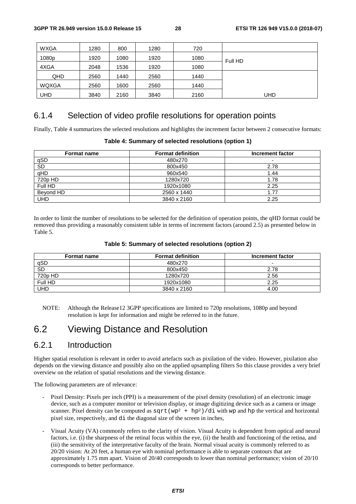| <b>WXGA</b>  | 1280 | 800  | 1280 | 720  |         |
|--------------|------|------|------|------|---------|
| 1080p        | 1920 | 1080 | 1920 | 1080 | Full HD |
| 4XGA         | 2048 | 1536 | 1920 | 1080 |         |
| QHD          | 2560 | 1440 | 2560 | 1440 |         |
| <b>WQXGA</b> | 2560 | 1600 | 2560 | 1440 |         |
| UHD          | 3840 | 2160 | 3840 | 2160 | UHD     |

### 6.1.4 Selection of video profile resolutions for operation points

Finally, Table 4 summarizes the selected resolutions and highlights the increment factor between 2 consecutive formats:

#### **Table 4: Summary of selected resolutions (option 1)**

| <b>Format name</b> | <b>Format definition</b> | Increment factor |
|--------------------|--------------------------|------------------|
| qSD                | 480x270                  | -                |
| <b>SD</b>          | 800x450                  | 2.78             |
| qHD                | 960x540                  | 1.44             |
| 720p HD            | 1280x720                 | 1.78             |
| Full HD            | 1920x1080                | 2.25             |
| Beyond HD          | 2560 x 1440              | 1.77             |
| UHD                | 3840 x 2160              | 2.25             |

In order to limit the number of resolutions to be selected for the definition of operation points, the qHD format could be removed thus providing a reasonably consistent table in terms of increment factors (around 2.5) as presented below in Table 5.

#### **Table 5: Summary of selected resolutions (option 2)**

| <b>Format name</b> | <b>Format definition</b> | Increment factor |
|--------------------|--------------------------|------------------|
| qSD                | 480x270                  | -                |
| SD                 | 800x450                  | 2.78             |
| 720p HD            | 1280x720                 | 2.56             |
| Full HD            | 1920x1080                | 2.25             |
| UHD                | 3840 x 2160              | 4.00             |

NOTE: Although the Release12 3GPP specifications are limited to 720p resolutions, 1080p and beyond resolution is kept for information and might be referred to in the future.

# 6.2 Viewing Distance and Resolution

### 6.2.1 Introduction

Higher spatial resolution is relevant in order to avoid artefacts such as pixilation of the video. However, pixilation also depends on the viewing distance and possibly also on the applied upsampling filters So this clause provides a very brief overview on the relation of spatial resolutions and the viewing distance.

The following parameters are of relevance:

- Pixel Density: Pixels per inch (PPI) is a measurement of the pixel density (resolution) of an electronic image device, such as a computer monitor or television display, or image digitizing device such as a camera or image scanner. Pixel density can be computed as  $sqrt(wp^2 + hp^2)/di$  with wp and hp the vertical and horizontal pixel size, respectively, and di the diagonal size of the screen in inches,
- Visual Acuity (VA) commonly refers to the clarity of vision. Visual Acuity is dependent from optical and neural factors, i.e. (i) the sharpness of the retinal focus within the eye, (ii) the health and functioning of the retina, and (iii) the sensitivity of the interpretative faculty of the brain. Normal visual acuity is commonly referred to as 20/20 vision: At 20 feet, a human eye with nominal performance is able to separate contours that are approximately 1.75 mm apart. Vision of 20/40 corresponds to lower than nominal performance; vision of 20/10 corresponds to better performance.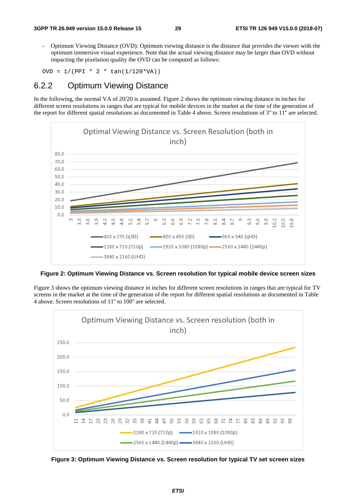- Optimum Viewing Distance (OVD): Optimum viewing distance is the distance that provides the viewer with the optimum immersive visual experience. Note that the actual viewing distance may be larger than OVD without impacting the pixelation quality the OVD can be computed as follows:

OVD =  $1/(PPI * 2 * tan(1/120*VA))$ 

### 6.2.2 Optimum Viewing Distance

In the following, the normal VA of 20/20 is assumed. Figure 2 shows the optimum viewing distance in inches for different screen resolutions in ranges that are typical for mobile devices in the market at the time of the generation of the report for different spatial resolutions as documented in Table 4 above. Screen resolutions of 3'' to 11'' are selected.



**Figure 2: Optimum Viewing Distance vs. Screen resolution for typical mobile device screen sizes** 

Figure 3 shows the optimum viewing distance in inches for different screen resolutions in ranges that are typical for TV screens in the market at the time of the generation of the report for different spatial resolutions as documented in Table 4 above. Screen resolutions of 11'' to 100'' are selected.



**Figure 3: Optimum Viewing Distance vs. Screen resolution for typical TV set screen sizes**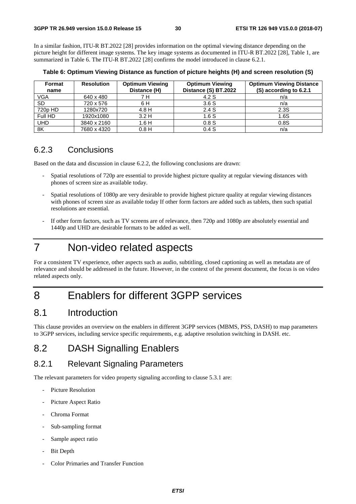In a similar fashion, ITU-R BT.2022 [28] provides information on the optimal viewing distance depending on the picture height for different image systems. The key image systems as documented in ITU-R BT.2022 [28], Table 1, are summarized in Table 6. The ITU-R BT.2022 [28] confirms the model introduced in clause 6.2.1.

| Format<br>name | <b>Resolution</b> | <b>Optimum Viewing</b><br>Distance (H) | <b>Optimum Viewing</b><br>Distance (S) BT.2022 | <b>Optimum Viewing Distance</b><br>(S) according to 6.2.1 |
|----------------|-------------------|----------------------------------------|------------------------------------------------|-----------------------------------------------------------|
| VGA            | 640 x 480         | 7 H                                    | 4.2 S                                          | n/a                                                       |
| <b>SD</b>      | 720 x 576         | 6 H                                    | 3.6S                                           | n/a                                                       |
| 720p HD        | 1280x720          | 4.8H                                   | 2.4S                                           | 2.3S                                                      |
| Full HD        | 1920x1080         | 3.2H                                   | 1.6S                                           | 1.6S                                                      |
| <b>UHD</b>     | 3840 x 2160       | 1.6H                                   | 0.8S                                           | 0.8S                                                      |
| 8K             | 7680 x 4320       | 0.8H                                   | 0.4S                                           | n/a                                                       |

**Table 6: Optimum Viewing Distance as function of picture heights (H) and screen resolution (S)** 

### 6.2.3 Conclusions

Based on the data and discussion in clause 6.2.2, the following conclusions are drawn:

- Spatial resolutions of 720p are essential to provide highest picture quality at regular viewing distances with phones of screen size as available today.
- Spatial resolutions of 1080p are very desirable to provide highest picture quality at regular viewing distances with phones of screen size as available today If other form factors are added such as tablets, then such spatial resolutions are essential.
- If other form factors, such as TV screens are of relevance, then 720p and 1080p are absolutely essential and 1440p and UHD are desirable formats to be added as well.

# 7 Non-video related aspects

For a consistent TV experience, other aspects such as audio, subtitling, closed captioning as well as metadata are of relevance and should be addressed in the future. However, in the context of the present document, the focus is on video related aspects only.

# 8 Enablers for different 3GPP services

# 8.1 Introduction

This clause provides an overview on the enablers in different 3GPP services (MBMS, PSS, DASH) to map parameters to 3GPP services, including service specific requirements, e.g. adaptive resolution switching in DASH. etc.

# 8.2 DASH Signalling Enablers

### 8.2.1 Relevant Signaling Parameters

The relevant parameters for video property signaling according to clause 5.3.1 are:

- Picture Resolution
- Picture Aspect Ratio
- Chroma Format
- Sub-sampling format
- Sample aspect ratio
- Bit Depth
- Color Primaries and Transfer Function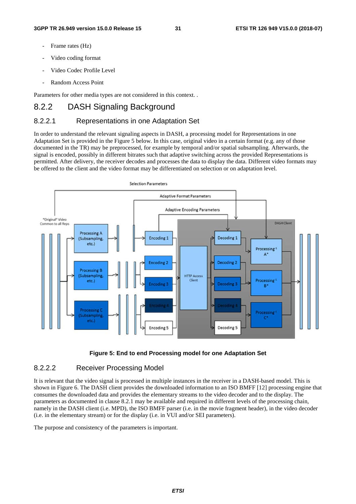- Frame rates (Hz)
- Video coding format
- Video Codec Profile Level
- Random Access Point

Parameters for other media types are not considered in this context. .

### 8.2.2 DASH Signaling Background

#### 8.2.2.1 Representations in one Adaptation Set

In order to understand the relevant signaling aspects in DASH, a processing model for Representations in one Adaptation Set is provided in the Figure 5 below. In this case, original video in a certain format (e.g. any of those documented in the TR) may be preprocessed, for example by temporal and/or spatial subsampling. Afterwards, the signal is encoded, possibly in different bitrates such that adaptive switching across the provided Representations is permitted. After delivery, the receiver decodes and processes the data to display the data. Different video formats may be offered to the client and the video format may be differentiated on selection or on adaptation level.





#### 8.2.2.2 Receiver Processing Model

It is relevant that the video signal is processed in multiple instances in the receiver in a DASH-based model. This is shown in Figure 6. The DASH client provides the downloaded information to an ISO BMFF [12] processing engine that consumes the downloaded data and provides the elementary streams to the video decoder and to the display. The parameters as documented in clause 8.2.1 may be available and required in different levels of the processing chain, namely in the DASH client (i.e. MPD), the ISO BMFF parser (i.e. in the movie fragment header), in the video decoder (i.e. in the elementary stream) or for the display (i.e. in VUI and/or SEI parameters).

The purpose and consistency of the parameters is important.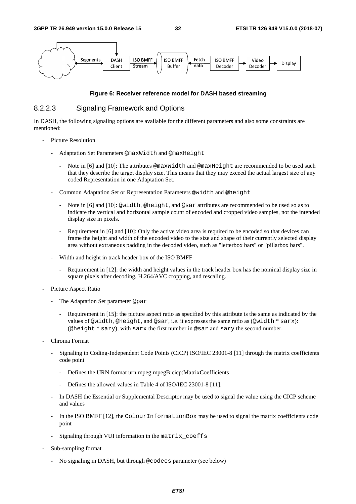

#### **Figure 6: Receiver reference model for DASH based streaming**

#### 8.2.2.3 Signaling Framework and Options

In DASH, the following signaling options are available for the different parameters and also some constraints are mentioned:

- Picture Resolution
	- Adaptation Set Parameters @maxWidth and @maxHeight
		- Note in [6] and [10]: The attributes @maxWidth and @maxHeight are recommended to be used such that they describe the target display size. This means that they may exceed the actual largest size of any coded Representation in one Adaptation Set.
	- Common Adaptation Set or Representation Parameters @width and @height
		- Note in [6] and [10]: @width, @height, and @sar attributes are recommended to be used so as to indicate the vertical and horizontal sample count of encoded and cropped video samples, not the intended display size in pixels.
		- Requirement in [6] and [10]: Only the active video area is required to be encoded so that devices can frame the height and width of the encoded video to the size and shape of their currently selected display area without extraneous padding in the decoded video, such as "letterbox bars" or "pillarbox bars".
	- Width and height in track header box of the ISO BMFF
		- Requirement in [12]: the width and height values in the track header box has the nominal display size in square pixels after decoding, H.264/AVC cropping, and rescaling.
- Picture Aspect Ratio
	- The Adaptation Set parameter @par
		- Requirement in [15]: the picture aspect ratio as specified by this attribute is the same as indicated by the values of @width, @height, and @sar, i.e. it expresses the same ratio as (@width \* sarx): (@height \* sary), with sarx the first number in @sar and sary the second number.
- Chroma Format
	- Signaling in Coding-Independent Code Points (CICP) ISO/IEC 23001-8 [11] through the matrix coefficients code point
		- Defines the URN format urn:mpeg:mpegB:cicp:MatrixCoefficients
		- Defines the allowed values in Table 4 of ISO/IEC 23001-8 [11].
	- In DASH the Essential or Supplemental Descriptor may be used to signal the value using the CICP scheme and values
	- In the ISO BMFF [12], the ColourInformationBox may be used to signal the matrix coefficients code point
	- Signaling through VUI information in the matrix\_coeffs
- Sub-sampling format
	- No signaling in DASH, but through @codecs parameter (see below)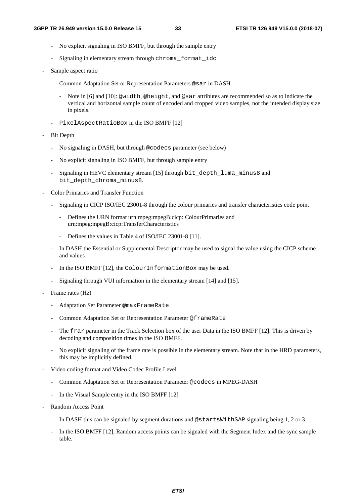- No explicit signaling in ISO BMFF, but through the sample entry
- Signaling in elementary stream through chroma format idc
- Sample aspect ratio
	- Common Adaptation Set or Representation Parameters @sar in DASH
		- Note in [6] and [10]: @width, @height, and @sar attributes are recommended so as to indicate the vertical and horizontal sample count of encoded and cropped video samples, not the intended display size in pixels.
	- PixelAspectRatioBox in the ISO BMFF [12]
- Bit Depth
	- No signaling in DASH, but through @codecs parameter (see below)
	- No explicit signaling in ISO BMFF, but through sample entry
	- Signaling in HEVC elementary stream [15] through bit\_depth\_luma\_minus8 and bit\_depth\_chroma\_minus8.
- Color Primaries and Transfer Function
	- Signaling in CICP ISO/IEC 23001-8 through the colour primaries and transfer characteristics code point
		- Defines the URN format urn:mpeg:mpegB:cicp: ColourPrimaries and urn:mpeg:mpegB:cicp:TransferCharacteristics
		- Defines the values in Table 4 of ISO/IEC 23001-8 [11].
	- In DASH the Essential or Supplemental Descriptor may be used to signal the value using the CICP scheme and values
	- In the ISO BMFF [12], the ColourInformationBox may be used.
	- Signaling through VUI information in the elementary stream [14] and [15].
- Frame rates (Hz)
	- Adaptation Set Parameter @maxFrameRate
	- Common Adaptation Set or Representation Parameter @frameRate
	- The frar parameter in the Track Selection box of the user Data in the ISO BMFF [12]. This is driven by decoding and composition times in the ISO BMFF.
	- No explicit signaling of the frame rate is possible in the elementary stream. Note that in the HRD parameters, this may be implicitly defined.
- Video coding format and Video Codec Profile Level
	- Common Adaptation Set or Representation Parameter @codecs in MPEG-DASH
	- In the Visual Sample entry in the ISO BMFF [12]
- Random Access Point
	- In DASH this can be signaled by segment durations and @startsWithSAP signaling being 1, 2 or 3.
	- In the ISO BMFF [12], Random access points can be signaled with the Segment Index and the sync sample table.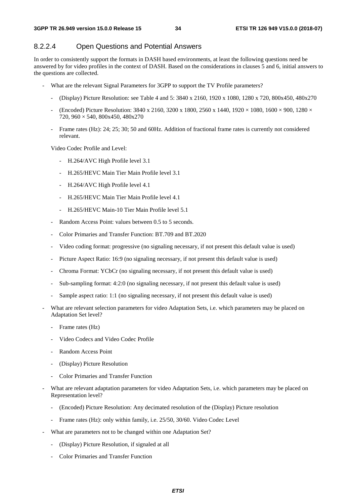#### 8.2.2.4 Open Questions and Potential Answers

In order to consistently support the formats in DASH based environments, at least the following questions need be answered by for video profiles in the context of DASH. Based on the considerations in clauses 5 and 6, initial answers to the questions are collected.

- What are the relevant Signal Parameters for 3GPP to support the TV Profile parameters?
	- (Display) Picture Resolution: see Table 4 and 5: 3840 x 2160, 1920 x 1080, 1280 x 720, 800x450, 480x270
	- (Encoded) Picture Resolution:  $3840 \times 2160$ ,  $3200 \times 1800$ ,  $2560 \times 1440$ ,  $1920 \times 1080$ ,  $1600 \times 900$ ,  $1280 \times$ 720, 960 × 540, 800x450, 480x270
	- Frame rates (Hz): 24; 25; 30; 50 and 60Hz. Addition of fractional frame rates is currently not considered relevant.

Video Codec Profile and Level:

- H.264/AVC High Profile level 3.1
- H.265/HEVC Main Tier Main Profile level 3.1
- H.264/AVC High Profile level 4.1
- H.265/HEVC Main Tier Main Profile level 4.1
- H.265/HEVC Main-10 Tier Main Profile level 5.1
- Random Access Point: values between 0.5 to 5 seconds.
- Color Primaries and Transfer Function: BT.709 and BT.2020
- Video coding format: progressive (no signaling necessary, if not present this default value is used)
- Picture Aspect Ratio: 16:9 (no signaling necessary, if not present this default value is used)
- Chroma Format: YCbCr (no signaling necessary, if not present this default value is used)
- Sub-sampling format: 4:2:0 (no signaling necessary, if not present this default value is used)
- Sample aspect ratio: 1:1 (no signaling necessary, if not present this default value is used)
- What are relevant selection parameters for video Adaptation Sets, i.e. which parameters may be placed on Adaptation Set level?
	- Frame rates (Hz)
	- Video Codecs and Video Codec Profile
	- Random Access Point
	- (Display) Picture Resolution
	- Color Primaries and Transfer Function
- What are relevant adaptation parameters for video Adaptation Sets, i.e. which parameters may be placed on Representation level?
	- (Encoded) Picture Resolution: Any decimated resolution of the (Display) Picture resolution
	- Frame rates (Hz): only within family, i.e. 25/50, 30/60. Video Codec Level
- What are parameters not to be changed within one Adaptation Set?
	- (Display) Picture Resolution, if signaled at all
	- Color Primaries and Transfer Function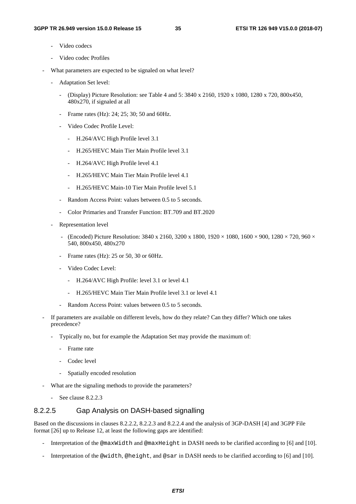- Video codecs
- Video codec Profiles
- What parameters are expected to be signaled on what level?
	- Adaptation Set level:
		- (Display) Picture Resolution: see Table 4 and 5: 3840 x 2160, 1920 x 1080, 1280 x 720, 800x450, 480x270, if signaled at all
		- Frame rates (Hz): 24; 25; 30; 50 and 60Hz.
		- Video Codec Profile Level:
			- H.264/AVC High Profile level 3.1
			- H.265/HEVC Main Tier Main Profile level 3.1
			- H.264/AVC High Profile level 4.1
			- H.265/HEVC Main Tier Main Profile level 4.1
			- H.265/HEVC Main-10 Tier Main Profile level 5.1
		- Random Access Point: values between 0.5 to 5 seconds.
		- Color Primaries and Transfer Function: BT.709 and BT.2020
	- Representation level
		- (Encoded) Picture Resolution:  $3840 \times 2160$ ,  $3200 \times 1800$ ,  $1920 \times 1080$ ,  $1600 \times 900$ ,  $1280 \times 720$ ,  $960 \times$ 540, 800x450, 480x270
		- Frame rates (Hz): 25 or 50, 30 or 60Hz.
		- Video Codec Level:
			- H.264/AVC High Profile: level 3.1 or level 4.1
			- H.265/HEVC Main Tier Main Profile level 3.1 or level 4.1
		- Random Access Point: values between 0.5 to 5 seconds.
- If parameters are available on different levels, how do they relate? Can they differ? Which one takes precedence?
	- Typically no, but for example the Adaptation Set may provide the maximum of:
		- Frame rate
		- Codec level
		- Spatially encoded resolution
- What are the signaling methods to provide the parameters?
	- See clause 8.2.2.3

#### 8.2.2.5 Gap Analysis on DASH-based signalling

Based on the discussions in clauses 8.2.2.2, 8.2.2.3 and 8.2.2.4 and the analysis of 3GP-DASH [4] and 3GPP File format [26] up to Release 12, at least the following gaps are identified:

- Interpretation of the @maxWidth and @maxHeight in DASH needs to be clarified according to [6] and [10].
- Interpretation of the @width, @height, and @sar in DASH needs to be clarified according to [6] and [10].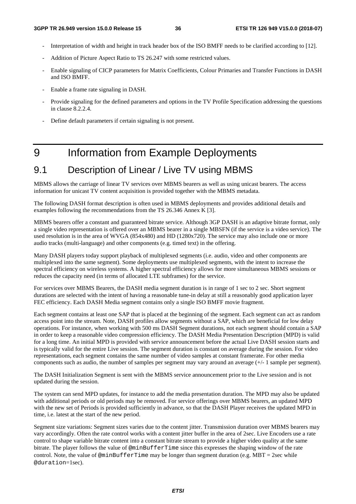- Interpretation of width and height in track header box of the ISO BMFF needs to be clarified according to [12].
- Addition of Picture Aspect Ratio to TS 26.247 with some restricted values.
- Enable signaling of CICP parameters for Matrix Coefficients, Colour Primaries and Transfer Functions in DASH and ISO BMFF.
- Enable a frame rate signaling in DASH.
- Provide signaling for the defined parameters and options in the TV Profile Specification addressing the questions in clause 8.2.2.4.
- Define default parameters if certain signaling is not present.

# 9 Information from Example Deployments

# 9.1 Description of Linear / Live TV using MBMS

MBMS allows the carriage of linear TV services over MBMS bearers as well as using unicast bearers. The access information for unicast TV content acquisition is provided together with the MBMS metadata.

The following DASH format description is often used in MBMS deployments and provides additional details and examples following the recommendations from the TS 26.346 Annex K [3].

MBMS bearers offer a constant and guaranteed bitrate service. Although 3GP DASH is an adaptive bitrate format, only a single video representation is offered over an MBMS bearer in a single MBSFN (if the service is a video service). The used resolution is in the area of WVGA (854x480) and HD (1280x720). The service may also include one or more audio tracks (multi-language) and other components (e.g. timed text) in the offering.

Many DASH players today support playback of multiplexed segments (i.e. audio, video and other components are multiplexed into the same segment). Some deployments use multiplexed segments, with the intent to increase the spectral efficiency on wireless systems. A higher spectral efficiency allows for more simultaneous MBMS sessions or reduces the capacity need (in terms of allocated LTE subframes) for the service.

For services over MBMS Bearers, the DASH media segment duration is in range of 1 sec to 2 sec. Short segment durations are selected with the intent of having a reasonable tune-in delay at still a reasonably good application layer FEC efficiency. Each DASH Media segment contains only a single ISO BMFF movie fragment.

Each segment contains at least one SAP that is placed at the beginning of the segment. Each segment can act as random access point into the stream. Note, DASH profiles allow segments without a SAP, which are beneficial for low delay operations. For instance, when working with 500 ms DASH Segment durations, not each segment should contain a SAP in order to keep a reasonable video compression efficiency. The DASH Media Presentation Description (MPD) is valid for a long time. An initial MPD is provided with service announcement before the actual Live DASH session starts and is typically valid for the entire Live session. The segment duration is constant on average during the session. For video representations, each segment contains the same number of video samples at constant framerate. For other media components such as audio, the number of samples per segment may vary around an average (+/- 1 sample per segment).

The DASH Initialization Segment is sent with the MBMS service announcement prior to the Live session and is not updated during the session.

The system can send MPD updates, for instance to add the media presentation duration. The MPD may also be updated with additional periods or old periods may be removed. For service offerings over MBMS bearers, an updated MPD with the new set of Periods is provided sufficiently in advance, so that the DASH Player receives the updated MPD in time, i.e. latest at the start of the new period.

Segment size variations: Segment sizes varies due to the content jitter. Transmission duration over MBMS bearers may vary accordingly. Often the rate control works with a content jitter buffer in the area of 2sec. Live Encoders use a rate control to shape variable bitrate content into a constant bitrate stream to provide a higher video quality at the same bitrate. The player follows the value of @minBufferTime since this expresses the shaping window of the rate control. Note, the value of  $\mathcal{Q}$ minBufferTime may be longer than segment duration (e.g. MBT = 2sec while @duration=1sec).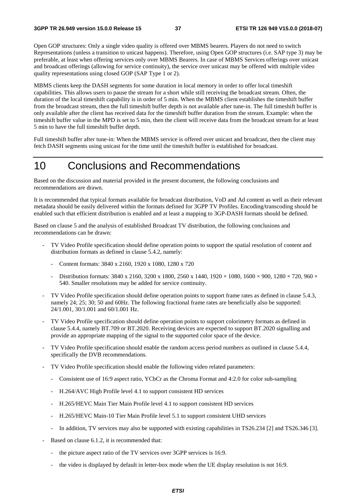Open GOP structures: Only a single video quality is offered over MBMS bearers. Players do not need to switch Representations (unless a transition to unicast happens). Therefore, using Open GOP structures (i.e. SAP type 3) may be preferable, at least when offering services only over MBMS Bearers. In case of MBMS Services offerings over unicast and broadcast offerings (allowing for service continuity), the service over unicast may be offered with multiple video quality representations using closed GOP (SAP Type 1 or 2).

MBMS clients keep the DASH segments for some duration in local memory in order to offer local timeshift capabilities. This allows users to pause the stream for a short while still receiving the broadcast stream. Often, the duration of the local timeshift capability is in order of 5 min. When the MBMS client establishes the timeshift buffer from the broadcast stream, then the full timeshift buffer depth is not available after tune-in. The full timeshift buffer is only available after the client has received data for the timeshift buffer duration from the stream. Example: when the timeshift buffer value in the MPD is set to 5 min, then the client will receive data from the broadcast stream for at least 5 min to have the full timeshift buffer depth.

Full timeshift buffer after tune-in: When the MBMS service is offered over unicast and broadcast, then the client may fetch DASH segments using unicast for the time until the timeshift buffer is established for broadcast.

# 10 Conclusions and Recommendations

Based on the discussion and material provided in the present document, the following conclusions and recommendations are drawn.

It is recommended that typical formats available for broadcast distribution, VoD and Ad content as well as their relevant metadata should be easily delivered within the formats defined for 3GPP TV Profiles. Encoding/transcoding should be enabled such that efficient distribution is enabled and at least a mapping to 3GP-DASH formats should be defined.

Based on clause 5 and the analysis of established Broadcast TV distribution, the following conclusions and recommendations can be drawn:

- TV Video Profile specification should define operation points to support the spatial resolution of content and distribution formats as defined in clause 5.4.2, namely:
	- Content formats: 3840 x 2160, 1920 x 1080, 1280 x 720
	- Distribution formats: 3840 x 2160, 3200 x 1800, 2560 x 1440, 1920 × 1080, 1600 × 900, 1280 × 720, 960 × 540. Smaller resolutions may be added for service continuity.
- TV Video Profile specification should define operation points to support frame rates as defined in clause 5.4.3, namely 24; 25; 30; 50 and 60Hz. The following fractional frame rates are beneficially also be supported: 24/1.001, 30/1.001 and 60/1.001 Hz.
- TV Video Profile specification should define operation points to support colorimetry formats as defined in clause 5.4.4, namely BT.709 or BT.2020. Receiving devices are expected to support BT.2020 signalling and provide an appropriate mapping of the signal to the supported color space of the device.
- TV Video Profile specification should enable the random access period numbers as outlined in clause 5.4.4, specifically the DVB recommendations.
- TV Video Profile specification should enable the following video related parameters:
	- Consistent use of 16:9 aspect ratio, YCbCr as the Chroma Format and 4:2.0 for color sub-sampling
	- H.264/AVC High Profile level 4.1 to support consistent HD services
	- H.265/HEVC Main Tier Main Profile level 4.1 to support consistent HD services
	- H.265/HEVC Main-10 Tier Main Profile level 5.1 to support consistent UHD services
	- In addition, TV services may also be supported with existing capabilities in TS26.234 [2] and TS26.346 [3].
- Based on clause 6.1.2, it is recommended that:
	- the picture aspect ratio of the TV services over 3GPP services is 16:9.
	- the video is displayed by default in letter-box mode when the UE display resolution is not 16:9.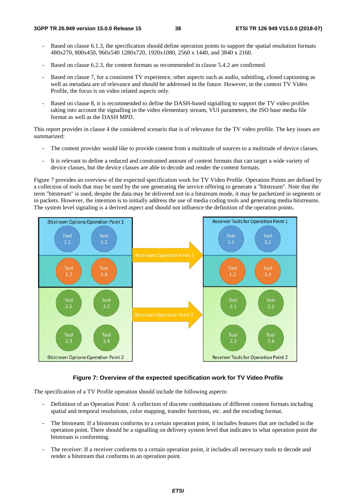- Based on clause 6.1.3, the specification should define operation points to support the spatial resolution formats 480x270, 800x450, 960x540 1280x720, 1920x1080, 2560 x 1440, and 3840 x 2160.
- Based on clause 6.2.3, the content formats as recommended in clause 5.4.2 are confirmed.
- Based on clause 7, for a consistent TV experience, other aspects such as audio, subtitling, closed captioning as well as metadata are of relevance and should be addressed in the future. However, in the context TV Video Profile, the focus is on video related aspects only.
- Based on clause 8, it is recommended to define the DASH-based signalling to support the TV video profiles taking into account the signalling in the video elementary stream, VUI parameters, the ISO base media file format as well as the DASH MPD.

This report provides in clause 4 the considered scenario that is of relevance for the TV video profile. The key issues are summarized:

- The content provider would like to provide content from a multitude of sources to a multitude of device classes.
- It is relevant to define a reduced and constrained amount of content formats that can target a wide variety of device classes, but the device classes are able to decode and render the content formats.

Figure 7 provides an overview of the expected specification work for TV Video Profile. Operation Points are defined by a collection of tools that may be used by the one generating the service offering to generate a "bitstream". Note that the term "bitstream" is used, despite the data may be delivered not in a bitstream mode, it may be packetized in segments or in packets. However, the intention is to initially address the use of media coding tools and generating media bitstreams. The system level signaling is a derived aspect and should not influence the definition of the operation points.



#### **Figure 7: Overview of the expected specification work for TV Video Profile**

The specification of a TV Profile operation should include the following aspects:

- Definition of an Operation Point: A collection of discrete combinations of different content formats including spatial and temporal resolutions, color mapping, transfer functions, etc. and the encoding format.
- The bitstream: If a bitstream conforms to a certain operation point, it includes features that are included in the operation point. There should be a signalling on delivery system level that indicates to what operation point the bitstream is conforming.
- The receiver: If a receiver conforms to a certain operation point, it includes all necessary tools to decode and render a bitstream that conforms to an operation point.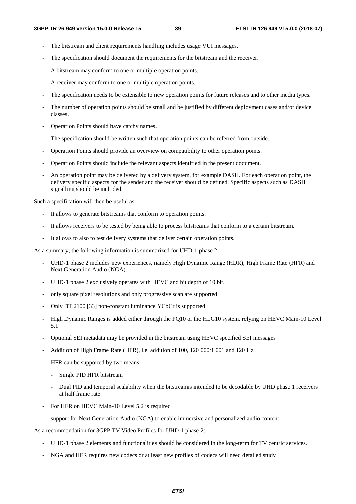- The bitstream and client requirements handling includes usage VUI messages.
- The specification should document the requirements for the bitstream and the receiver.
- A bitstream may conform to one or multiple operation points.
- A receiver may conform to one or multiple operation points.
- The specification needs to be extensible to new operation points for future releases and to other media types.
- The number of operation points should be small and be justified by different deployment cases and/or device classes.
- Operation Points should have catchy names.
- The specification should be written such that operation points can be referred from outside.
- Operation Points should provide an overview on compatibility to other operation points.
- Operation Points should include the relevant aspects identified in the present document.
- An operation point may be delivered by a delivery system, for example DASH. For each operation point, the delivery specific aspects for the sender and the receiver should be defined. Specific aspects such as DASH signalling should be included.

Such a specification will then be useful as:

- It allows to generate bitstreams that conform to operation points.
- It allows receivers to be tested by being able to process bitstreams that conform to a certain bitstream.
- It allows to also to test delivery systems that deliver certain operation points.

As a summary, the following information is summarized for UHD-1 phase 2:

- UHD-1 phase 2 includes new experiences, namely High Dynamic Range (HDR), High Frame Rate (HFR) and Next Generation Audio (NGA).
- UHD-1 phase 2 exclusively operates with HEVC and bit depth of 10 bit.
- only square pixel resolutions and only progressive scan are supported
- Only BT.2100 [33] non-constant luminance YCbCr is supported
- High Dynamic Ranges is added either through the PQ10 or the HLG10 system, relying on HEVC Main-10 Level 5.1
- Optional SEI metadata may be provided in the bitstream using HEVC specified SEI messages
- Addition of High Frame Rate (HFR), i.e. addition of 100, 120 000/1 001 and 120 Hz
- HFR can be supported by two means:
	- Single PID HFR bitstream
	- Dual PID and temporal scalability when the bitstreamis intended to be decodable by UHD phase 1 receivers at half frame rate
- For HFR on HEVC Main-10 Level 5.2 is required
- support for Next Generation Audio (NGA) to enable immersive and personalized audio content

As a recommendation for 3GPP TV Video Profiles for UHD-1 phase 2:

- UHD-1 phase 2 elements and functionalities should be considered in the long-term for TV centric services.
- NGA and HFR requires new codecs or at least new profiles of codecs will need detailed study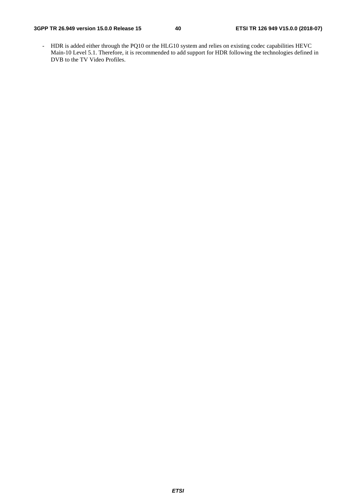- HDR is added either through the PQ10 or the HLG10 system and relies on existing codec capabilities HEVC Main-10 Level 5.1. Therefore, it is recommended to add support for HDR following the technologies defined in DVB to the TV Video Profiles.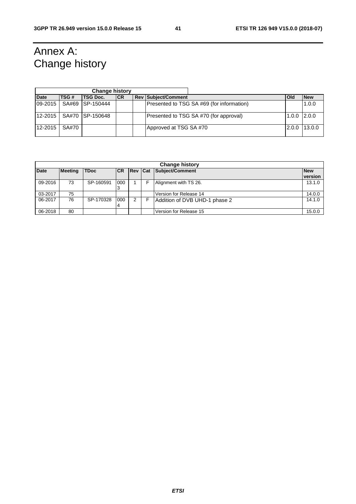# Annex A: Change history

|             |       | <b>Change history</b> |            |                                           |               |            |
|-------------|-------|-----------------------|------------|-------------------------------------------|---------------|------------|
| <b>Date</b> | TSG#  | <b>TSG Doc.</b>       | <b>ICR</b> | <b>Rev Subject/Comment</b>                | l Old         | <b>New</b> |
| 09-2015     |       | SA#69 ISP-150444      |            | Presented to TSG SA #69 (for information) |               | 1.0.0      |
| 12-2015     |       | SA#70 ISP-150648      |            | Presented to TSG SA #70 (for approval)    | $1.0.0$ 2.0.0 |            |
| 12-2015     | SA#70 |                       |            | Approved at TSG SA #70                    | 2.0.0         | 13.0.0     |

|             | <b>Change history</b> |             |            |                |  |                               |                       |  |
|-------------|-----------------------|-------------|------------|----------------|--|-------------------------------|-----------------------|--|
| <b>Date</b> | <b>Meeting</b>        | <b>TDoc</b> | <b>ICR</b> | <b>Rev Cat</b> |  | Subject/Comment               | <b>New</b><br>version |  |
| 09-2016     | 73                    | SP-160591   | 000<br>3   |                |  | Alignment with TS 26.         | 13.1.0                |  |
| 03-2017     | 75                    |             |            |                |  | Version for Release 14        | 14.0.0                |  |
| 06-2017     | 76                    | SP-170328   | 000<br>4   | 2              |  | Addition of DVB UHD-1 phase 2 | 14.1.0                |  |
| 06-2018     | 80                    |             |            |                |  | Version for Release 15        | 15.0.0                |  |